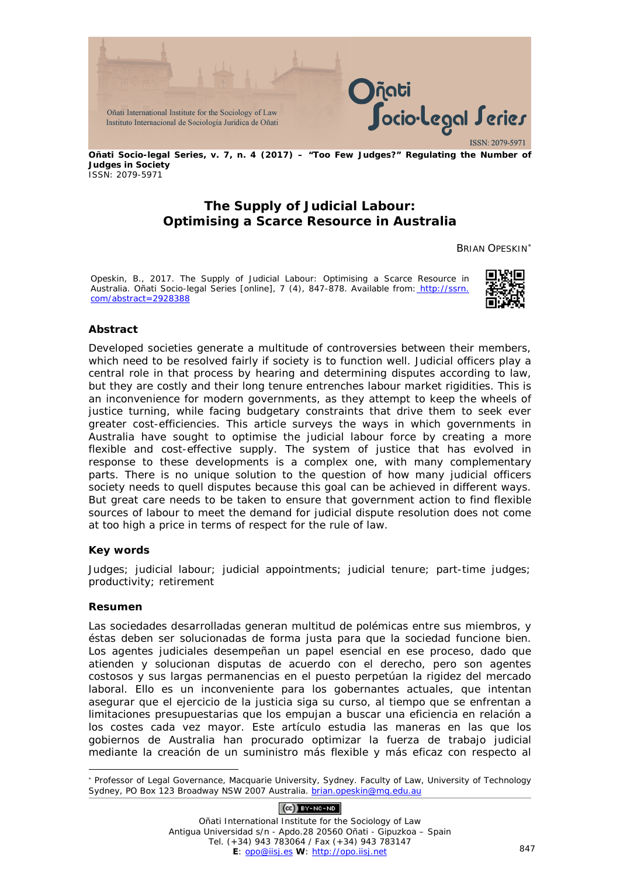

**Oñati Socio-legal Series, v. 7, n. 4 (2017) – "Too Few Judges?" Regulating the Number of Judges in Society** ISSN: 2079-5971

# **The Supply of Judicial Labour: Optimising a Scarce Resource in Australia**

BRIAN OPESKIN[∗](#page-0-0)

Opeskin, B., 2017. The Supply of Judicial Labour: Optimising a Scarce Resource in Australia. *Oñati Socio-legal Series* [online], 7 (4), 847-878. Available from: http://ssrn. com/abstract=2928388



#### **Abstract**

Developed societies generate a multitude of controversies between their members, which need to be resolved fairly if society is to function well. Judicial officers play a central role in that process by hearing and determining disputes according to law, but they are costly and their long tenure entrenches labour market rigidities. This is an inconvenience for modern governments, as they attempt to keep the wheels of justice turning, while facing budgetary constraints that drive them to seek ever greater cost-efficiencies. This article surveys the ways in which governments in Australia have sought to optimise the judicial labour force by creating a more flexible and cost-effective supply. The system of justice that has evolved in response to these developments is a complex one, with many complementary parts. There is no unique solution to the question of how many judicial officers society needs to quell disputes because this goal can be achieved in different ways. But great care needs to be taken to ensure that government action to find flexible sources of labour to meet the demand for judicial dispute resolution does not come at too high a price in terms of respect for the rule of law.

#### **Key words**

Judges; judicial labour; judicial appointments; judicial tenure; part-time judges; productivity; retirement

#### **Resumen**

Las sociedades desarrolladas generan multitud de polémicas entre sus miembros, y éstas deben ser solucionadas de forma justa para que la sociedad funcione bien. Los agentes judiciales desempeñan un papel esencial en ese proceso, dado que atienden y solucionan disputas de acuerdo con el derecho, pero son agentes costosos y sus largas permanencias en el puesto perpetúan la rigidez del mercado laboral. Ello es un inconveniente para los gobernantes actuales, que intentan asegurar que el ejercicio de la justicia siga su curso, al tiempo que se enfrentan a limitaciones presupuestarias que los empujan a buscar una eficiencia en relación a los costes cada vez mayor. Este artículo estudia las maneras en las que los gobiernos de Australia han procurado optimizar la fuerza de trabajo judicial mediante la creación de un suministro más flexible y más eficaz con respecto al

## $(O<sub>c</sub>)$  BY-NC-ND

Oñati International Institute for the Sociology of Law Antigua Universidad s/n - Apdo.28 20560 Oñati - Gipuzkoa – Spain Tel. (+34) 943 783064 / Fax (+34) 943 783147 **E**: <u>opo@iisj.es</u> W: [http://opo.iisj.net](http://opo.iisj.net/) 847

<span id="page-0-0"></span><sup>-</sup><sup>∗</sup> Professor of Legal Governance, Macquarie University, Sydney. Faculty of Law, University of Technology Sydney, PO Box 123 Broadway NSW 2007 Australia. [brian.opeskin@mq.edu.au](mailto:brian.opeskin@mq.edu.au)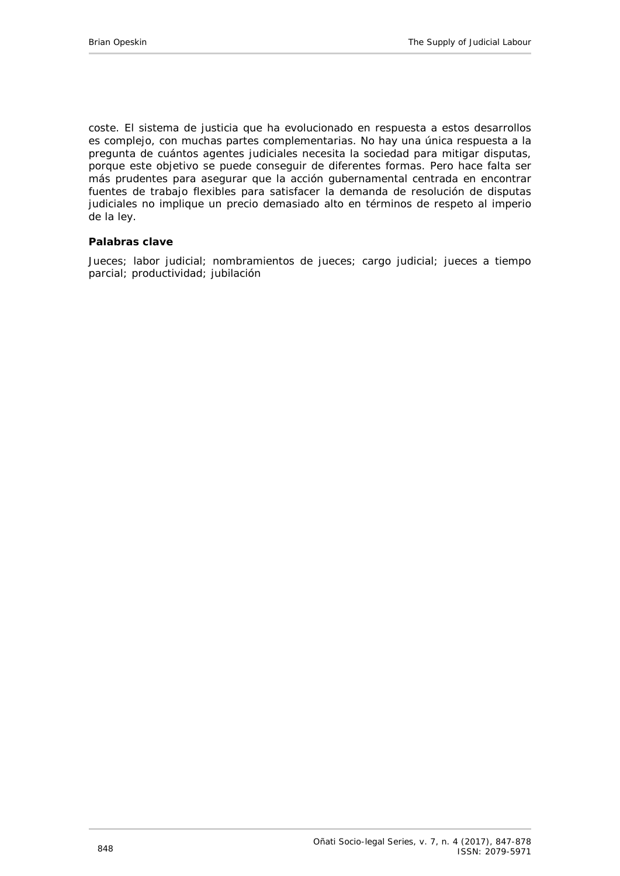coste. El sistema de justicia que ha evolucionado en respuesta a estos desarrollos es complejo, con muchas partes complementarias. No hay una única respuesta a la pregunta de cuántos agentes judiciales necesita la sociedad para mitigar disputas, porque este objetivo se puede conseguir de diferentes formas. Pero hace falta ser más prudentes para asegurar que la acción gubernamental centrada en encontrar fuentes de trabajo flexibles para satisfacer la demanda de resolución de disputas judiciales no implique un precio demasiado alto en términos de respeto al imperio de la ley.

#### **Palabras clave**

Jueces; labor judicial; nombramientos de jueces; cargo judicial; jueces a tiempo parcial; productividad; jubilación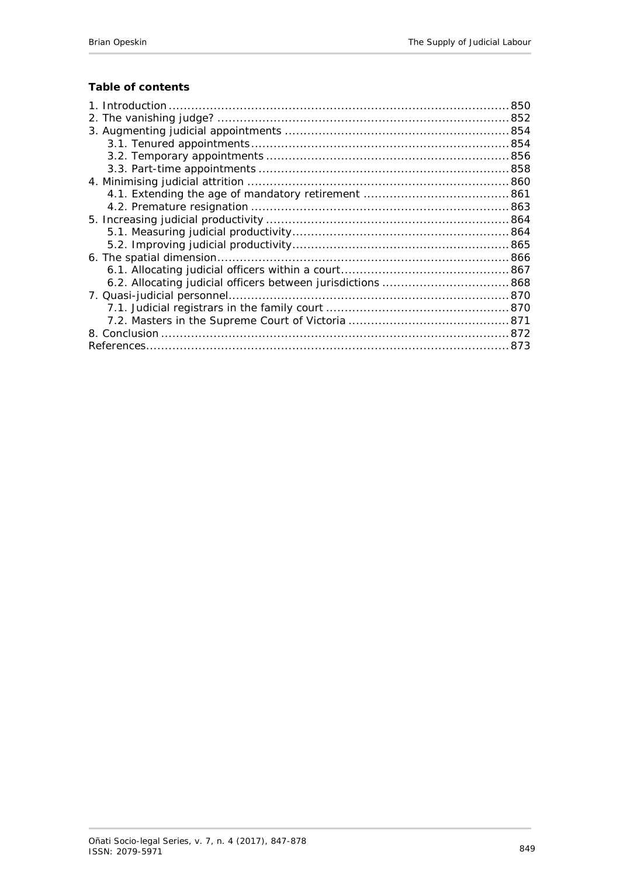# **Table of contents**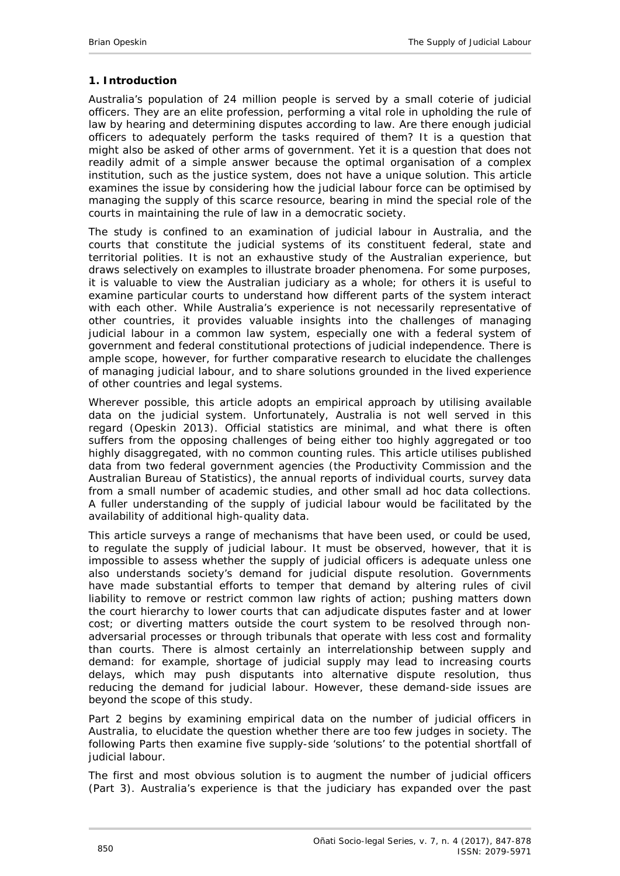## <span id="page-3-0"></span>**1. Introduction**

Australia's population of 24 million people is served by a small coterie of judicial officers. They are an elite profession, performing a vital role in upholding the rule of law by hearing and determining disputes according to law. Are there enough judicial officers to adequately perform the tasks required of them? It is a question that might also be asked of other arms of government. Yet it is a question that does not readily admit of a simple answer because the optimal organisation of a complex institution, such as the justice system, does not have a unique solution. This article examines the issue by considering how the judicial labour force can be optimised by managing the supply of this scarce resource, bearing in mind the special role of the courts in maintaining the rule of law in a democratic society.

The study is confined to an examination of judicial labour in Australia, and the courts that constitute the judicial systems of its constituent federal, state and territorial polities. It is not an exhaustive study of the Australian experience, but draws selectively on examples to illustrate broader phenomena. For some purposes, it is valuable to view the Australian judiciary as a whole; for others it is useful to examine particular courts to understand how different parts of the system interact with each other. While Australia's experience is not necessarily representative of other countries, it provides valuable insights into the challenges of managing judicial labour in a common law system, especially one with a federal system of government and federal constitutional protections of judicial independence. There is ample scope, however, for further comparative research to elucidate the challenges of managing judicial labour, and to share solutions grounded in the lived experience of other countries and legal systems.

Wherever possible, this article adopts an empirical approach by utilising available data on the judicial system. Unfortunately, Australia is not well served in this regard [\(Opeskin 2013\)](#page-29-0). Official statistics are minimal, and what there is often suffers from the opposing challenges of being either too highly aggregated or too highly disaggregated, with no common counting rules. This article utilises published data from two federal government agencies (the Productivity Commission and the Australian Bureau of Statistics), the annual reports of individual courts, survey data from a small number of academic studies, and other small ad hoc data collections. A fuller understanding of the supply of judicial labour would be facilitated by the availability of additional high-quality data.

This article surveys a range of mechanisms that have been used, or could be used, to regulate the *supply* of judicial labour. It must be observed, however, that it is impossible to assess whether the supply of judicial officers is adequate unless one also understands society's *demand* for judicial dispute resolution. Governments have made substantial efforts to temper that demand by altering rules of civil liability to remove or restrict common law rights of action; pushing matters down the court hierarchy to lower courts that can adjudicate disputes faster and at lower cost; or diverting matters outside the court system to be resolved through nonadversarial processes or through tribunals that operate with less cost and formality than courts. There is almost certainly an interrelationship between supply and demand: for example, shortage of judicial supply may lead to increasing courts delays, which may push disputants into alternative dispute resolution, thus reducing the demand for judicial labour. However, these demand-side issues are beyond the scope of this study.

Part 2 begins by examining empirical data on the number of judicial officers in Australia, to elucidate the question whether there are too few judges in society. The following Parts then examine five supply-side 'solutions' to the potential shortfall of judicial labour.

The first and most obvious solution is to augment the number of judicial officers (Part 3). Australia's experience is that the judiciary has expanded over the past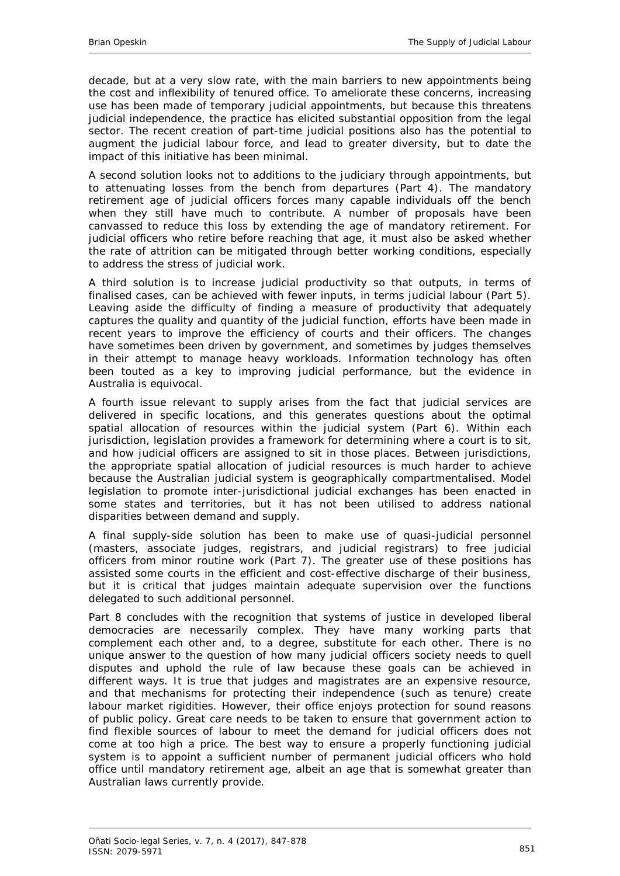decade, but at a very slow rate, with the main barriers to new appointments being the cost and inflexibility of tenured office. To ameliorate these concerns, increasing use has been made of temporary judicial appointments, but because this threatens judicial independence, the practice has elicited substantial opposition from the legal sector. The recent creation of part-time judicial positions also has the potential to augment the judicial labour force, and lead to greater diversity, but to date the impact of this initiative has been minimal.

A second solution looks not to additions to the judiciary through appointments, but to attenuating losses from the bench from departures (Part 4). The mandatory retirement age of judicial officers forces many capable individuals off the bench when they still have much to contribute. A number of proposals have been canvassed to reduce this loss by extending the age of mandatory retirement. For judicial officers who retire before reaching that age, it must also be asked whether the rate of attrition can be mitigated through better working conditions, especially to address the stress of judicial work.

A third solution is to increase judicial productivity so that outputs, in terms of finalised cases, can be achieved with fewer inputs, in terms judicial labour (Part 5). Leaving aside the difficulty of finding a measure of productivity that adequately captures the quality and quantity of the judicial function, efforts have been made in recent years to improve the efficiency of courts and their officers. The changes have sometimes been driven by government, and sometimes by judges themselves in their attempt to manage heavy workloads. Information technology has often been touted as a key to improving judicial performance, but the evidence in Australia is equivocal.

A fourth issue relevant to supply arises from the fact that judicial services are delivered in specific locations, and this generates questions about the optimal spatial allocation of resources within the judicial system (Part 6). Within each jurisdiction, legislation provides a framework for determining where a court is to sit, and how judicial officers are assigned to sit in those places. Between jurisdictions, the appropriate spatial allocation of judicial resources is much harder to achieve because the Australian judicial system is geographically compartmentalised. Model legislation to promote inter-jurisdictional judicial exchanges has been enacted in some states and territories, but it has not been utilised to address national disparities between demand and supply.

A final supply-side solution has been to make use of quasi-judicial personnel (masters, associate judges, registrars, and judicial registrars) to free judicial officers from minor routine work (Part 7). The greater use of these positions has assisted some courts in the efficient and cost-effective discharge of their business, but it is critical that judges maintain adequate supervision over the functions delegated to such additional personnel.

Part 8 concludes with the recognition that systems of justice in developed liberal democracies are necessarily complex. They have many working parts that complement each other and, to a degree, substitute for each other. There is no unique answer to the question of how many judicial officers society needs to quell disputes and uphold the rule of law because these goals can be achieved in different ways. It is true that judges and magistrates are an expensive resource, and that mechanisms for protecting their independence (such as tenure) create labour market rigidities. However, their office enjoys protection for sound reasons of public policy. Great care needs to be taken to ensure that government action to find flexible sources of labour to meet the demand for judicial officers does not come at too high a price. The best way to ensure a properly functioning judicial system is to appoint a sufficient number of permanent judicial officers who hold office until mandatory retirement age, albeit an age that is somewhat greater than Australian laws currently provide.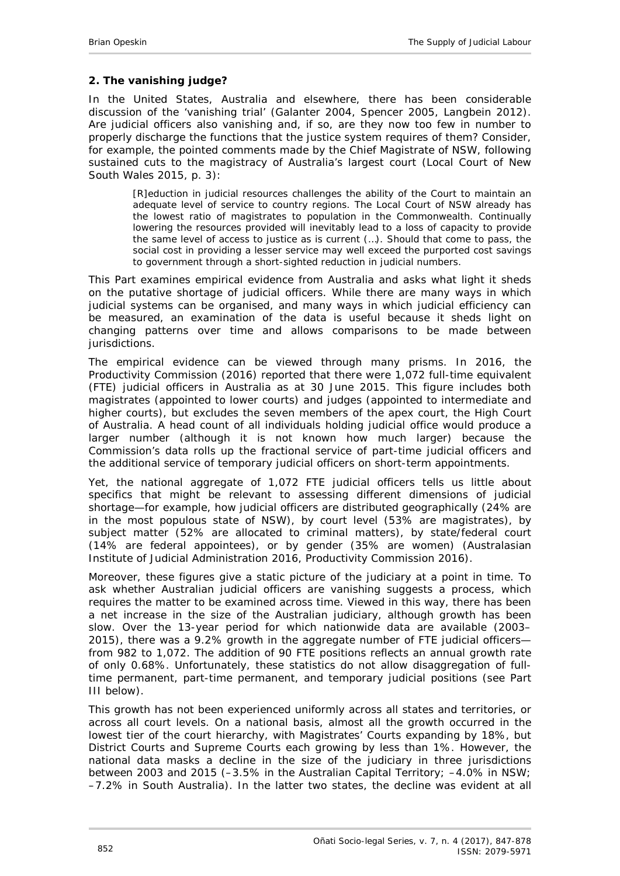## <span id="page-5-0"></span>**2. The vanishing judge?**

In the United States, Australia and elsewhere, there has been considerable discussion of the 'vanishing trial' [\(Galanter 2004,](#page-28-0) [Spencer 2005,](#page-30-0) [Langbein 2012\)](#page-28-1). Are judicial officers also vanishing and, if so, are they now too few in number to properly discharge the functions that the justice system requires of them? Consider, for example, the pointed comments made by the Chief Magistrate of NSW, following sustained cuts to the magistracy of Australia's largest court [\(Local Court of New](#page-28-2)  [South Wales 2015, p. 3\)](#page-28-2):

[R]eduction in judicial resources challenges the ability of the Court to maintain an adequate level of service to country regions. The Local Court of NSW already has the lowest ratio of magistrates to population in the Commonwealth. Continually lowering the resources provided will inevitably lead to a loss of capacity to provide the same level of access to justice as is current (…). Should that come to pass, the social cost in providing a lesser service may well exceed the purported cost savings to government through a short-sighted reduction in judicial numbers.

This Part examines empirical evidence from Australia and asks what light it sheds on the putative shortage of judicial officers. While there are many ways in which judicial systems can be organised, and many ways in which judicial efficiency can be measured, an examination of the data is useful because it sheds light on changing patterns over time and allows comparisons to be made between jurisdictions.

The empirical evidence can be viewed through many prisms. In 2016, the Productivity Commission (2016) reported that there were 1,072 full-time equivalent (FTE) judicial officers in Australia as at 30 June 2015. This figure includes both *magistrates* (appointed to lower courts) and *judges* (appointed to intermediate and higher courts), but excludes the seven members of the apex court, the High Court of Australia. A head count of all individuals holding judicial office would produce a larger number (although it is not known how much larger) because the Commission's data rolls up the fractional service of part-time judicial officers and the additional service of temporary judicial officers on short-term appointments.

Yet, the national aggregate of 1,072 FTE judicial officers tells us little about specifics that might be relevant to assessing different dimensions of judicial shortage—for example, how judicial officers are distributed geographically (24% are in the most populous state of NSW), by court level (53% are magistrates), by subject matter (52% are allocated to criminal matters), by state/federal court (14% are federal appointees), or by gender (35% are women) [\(Australasian](#page-26-1)  [Institute of Judicial Administration 2016,](#page-26-1) Productivity Commission 2016).

Moreover, these figures give a static picture of the judiciary at a point in time. To ask whether Australian judicial officers are vanishing suggests a *process*, which requires the matter to be examined across time. Viewed in this way, there has been a net increase in the size of the Australian judiciary, although growth has been slow. Over the 13-year period for which nationwide data are available (2003– 2015), there was a 9.2% growth in the aggregate number of FTE judicial officers from 982 to 1,072. The addition of 90 FTE positions reflects an annual growth rate of only 0.68%. Unfortunately, these statistics do not allow disaggregation of fulltime permanent, part-time permanent, and temporary judicial positions (see Part III below).

This growth has not been experienced uniformly across all states and territories, or across all court levels. On a national basis, almost all the growth occurred in the lowest tier of the court hierarchy, with Magistrates' Courts expanding by 18%, but District Courts and Supreme Courts each growing by less than 1%. However, the national data masks a decline in the size of the judiciary in three jurisdictions between 2003 and 2015 (–3.5% in the Australian Capital Territory; –4.0% in NSW; –7.2% in South Australia). In the latter two states, the decline was evident at all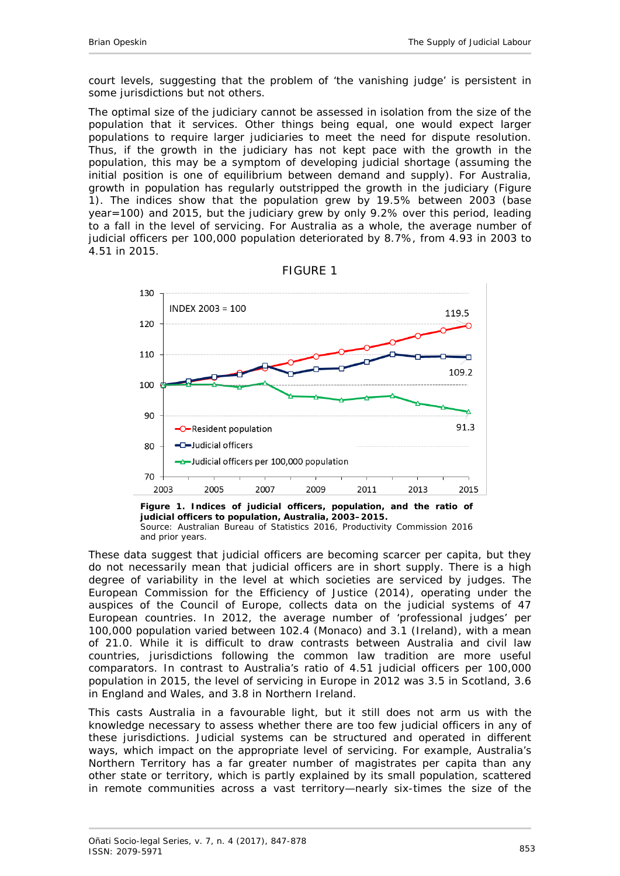court levels, suggesting that the problem of 'the vanishing judge' is persistent in some jurisdictions but not others.

The optimal size of the judiciary cannot be assessed in isolation from the size of the population that it services. Other things being equal, one would expect larger populations to require larger judiciaries to meet the need for dispute resolution. Thus, if the growth in the judiciary has not kept pace with the growth in the population, this may be a symptom of developing judicial shortage (assuming the initial position is one of equilibrium between demand and supply). For Australia, growth in population has regularly outstripped the growth in the judiciary (Figure 1). The indices show that the population grew by 19.5% between 2003 (base year=100) and 2015, but the judiciary grew by only 9.2% over this period, leading to a fall in the level of servicing. For Australia as a whole, the average number of judicial officers per 100,000 population deteriorated by 8.7%, from 4.93 in 2003 to 4.51 in 2015.



FIGURE 1

**Figure 1. Indices of judicial officers, population, and the ratio of judicial officers to population, Australia, 2003–2015.** Source: [Australian Bureau of Statistics 2016,](#page-26-2) Productivity Commission 2016 and prior years.

These data suggest that judicial officers are becoming scarcer per capita, but they do not necessarily mean that judicial officers are in short supply. There is a high degree of variability in the level at which societies are serviced by judges. The European Commission for the Efficiency of Justice (2014), operating under the auspices of the Council of Europe, collects data on the judicial systems of 47 European countries. In 2012, the average number of 'professional judges' per 100,000 population varied between 102.4 (Monaco) and 3.1 (Ireland), with a mean of 21.0. While it is difficult to draw contrasts between Australia and civil law countries, jurisdictions following the common law tradition are more useful comparators. In contrast to Australia's ratio of 4.51 judicial officers per 100,000 population in 2015, the level of servicing in Europe in 2012 was 3.5 in Scotland, 3.6 in England and Wales, and 3.8 in Northern Ireland.

This casts Australia in a favourable light, but it still does not arm us with the knowledge necessary to assess whether there are too few judicial officers in any of these jurisdictions. Judicial systems can be structured and operated in different ways, which impact on the appropriate level of servicing. For example, Australia's Northern Territory has a far greater number of magistrates per capita than any other state or territory, which is partly explained by its small population, scattered in remote communities across a vast territory—nearly six-times the size of the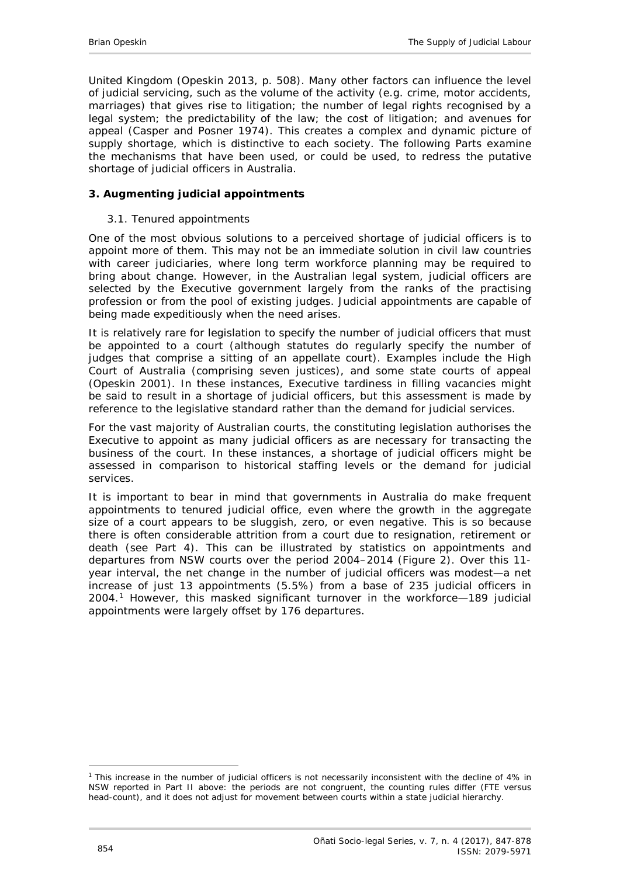United Kingdom [\(Opeskin 2013, p. 508\)](#page-29-0). Many other factors can influence the level of judicial servicing, such as the volume of the activity (e.g. crime, motor accidents, marriages) that gives rise to litigation; the number of legal rights recognised by a legal system; the predictability of the law; the cost of litigation; and avenues for appeal [\(Casper and Posner 1974\)](#page-27-0). This creates a complex and dynamic picture of supply shortage, which is distinctive to each society. The following Parts examine the mechanisms that have been used, or could be used, to redress the putative shortage of judicial officers in Australia.

### <span id="page-7-1"></span><span id="page-7-0"></span>**3. Augmenting judicial appointments**

#### *3.1. Tenured appointments*

One of the most obvious solutions to a perceived shortage of judicial officers is to appoint more of them. This may not be an immediate solution in civil law countries with career judiciaries, where long term workforce planning may be required to bring about change. However, in the Australian legal system, judicial officers are selected by the Executive government largely from the ranks of the practising profession or from the pool of existing judges. Judicial appointments are capable of being made expeditiously when the need arises.

It is relatively rare for legislation to specify the number of judicial officers that must be appointed to a court (although statutes do regularly specify the number of judges that comprise a sitting of an appellate court). Examples include the High Court of Australia (comprising seven justices), and some state courts of appeal [\(Opeskin 2001\)](#page-29-1). In these instances, Executive tardiness in filling vacancies might be said to result in a shortage of judicial officers, but this assessment is made by reference to the legislative standard rather than the demand for judicial services.

For the vast majority of Australian courts, the constituting legislation authorises the Executive to appoint as many judicial officers as are necessary for transacting the business of the court. In these instances, a shortage of judicial officers might be assessed in comparison to historical staffing levels or the demand for judicial services.

It is important to bear in mind that governments in Australia do make frequent appointments to tenured judicial office, even where the growth in the aggregate size of a court appears to be sluggish, zero, or even negative. This is so because there is often considerable attrition from a court due to resignation, retirement or death (see Part 4). This can be illustrated by statistics on appointments and departures from NSW courts over the period 2004–2014 (Figure 2). Over this 11 year interval, the *net change* in the number of judicial officers was modest—a net increase of just 13 appointments (5.5%) from a base of 235 judicial officers in 2004.[1](#page-7-2) However, this masked significant turnover in the workforce—189 judicial appointments were largely offset by 176 departures.

<span id="page-7-2"></span><sup>-</sup><sup>1</sup> This increase in the number of judicial officers is not necessarily inconsistent with the decline of 4% in NSW reported in Part II above: the periods are not congruent, the counting rules differ (FTE versus head-count), and it does not adjust for movement between courts within a state judicial hierarchy.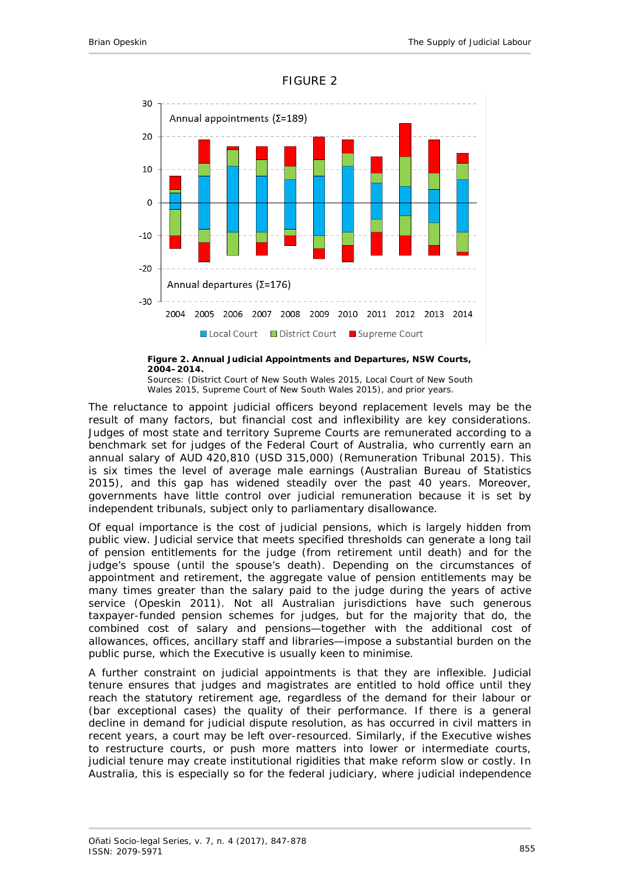

#### FIGURE 2



Sources: [\(District Court of New South Wales 2015,](#page-27-1) [Local Court of New South](#page-28-2)  [Wales 2015,](#page-28-2) [Supreme Court of New South Wales 2015\)](#page-30-1), and prior years.

The reluctance to appoint judicial officers beyond replacement levels may be the result of many factors, but financial cost and inflexibility are key considerations. Judges of most state and territory Supreme Courts are remunerated according to a benchmark set for judges of the Federal Court of Australia, who currently earn an annual salary of AUD 420,810 (USD 315,000) [\(Remuneration Tribunal 2015\)](#page-29-2). This is six times the level of average male earnings [\(Australian Bureau of Statistics](#page-26-3)  [2015\)](#page-26-3), and this gap has widened steadily over the past 40 years. Moreover, governments have little control over judicial remuneration because it is set by independent tribunals, subject only to parliamentary disallowance.

Of equal importance is the cost of judicial pensions, which is largely hidden from public view. Judicial service that meets specified thresholds can generate a long tail of pension entitlements for the judge (from retirement until death) and for the judge's spouse (until the spouse's death). Depending on the circumstances of appointment and retirement, the aggregate value of pension entitlements may be many times greater than the salary paid to the judge during the years of active service [\(Opeskin 2011\)](#page-29-3). Not all Australian jurisdictions have such generous taxpayer-funded pension schemes for judges, but for the majority that do, the combined cost of salary and pensions—together with the additional cost of allowances, offices, ancillary staff and libraries—impose a substantial burden on the public purse, which the Executive is usually keen to minimise.

A further constraint on judicial appointments is that they are inflexible. Judicial tenure ensures that judges and magistrates are entitled to hold office until they reach the statutory retirement age, regardless of the demand for their labour or (bar exceptional cases) the quality of their performance. If there is a general decline in demand for judicial dispute resolution, as has occurred in civil matters in recent years, a court may be left over-resourced. Similarly, if the Executive wishes to restructure courts, or push more matters into lower or intermediate courts, judicial tenure may create institutional rigidities that make reform slow or costly. In Australia, this is especially so for the federal judiciary, where judicial independence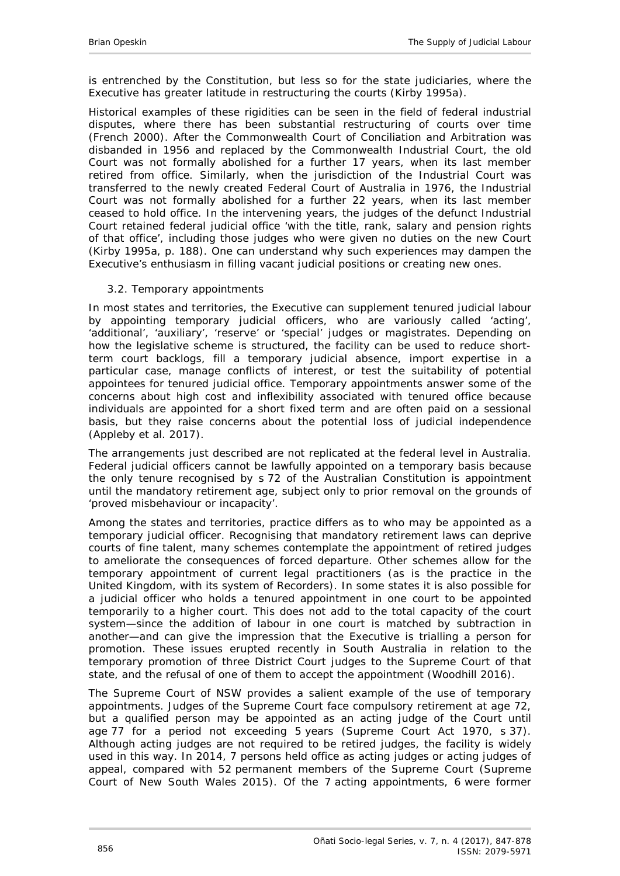is entrenched by the Constitution, but less so for the state judiciaries, where the Executive has greater latitude in restructuring the courts [\(Kirby 1995a\)](#page-28-3).

Historical examples of these rigidities can be seen in the field of federal industrial disputes, where there has been substantial restructuring of courts over time [\(French 2000\)](#page-27-2). After the Commonwealth Court of Conciliation and Arbitration was disbanded in 1956 and replaced by the Commonwealth Industrial Court, the old Court was not formally abolished for a further 17 years, when its last member retired from office. Similarly, when the jurisdiction of the Industrial Court was transferred to the newly created Federal Court of Australia in 1976, the Industrial Court was not formally abolished for a further 22 years, when its last member ceased to hold office. In the intervening years, the judges of the defunct Industrial Court retained federal judicial office 'with the title, rank, salary and pension rights of that office', including those judges who were given no duties on the new Court [\(Kirby 1995a, p. 188\)](#page-28-3). One can understand why such experiences may dampen the Executive's enthusiasm in filling vacant judicial positions or creating new ones.

### <span id="page-9-0"></span>*3.2. Temporary appointments*

In most states and territories, the Executive can supplement tenured judicial labour by appointing temporary judicial officers, who are variously called 'acting', 'additional', 'auxiliary', 'reserve' or 'special' judges or magistrates. Depending on how the legislative scheme is structured, the facility can be used to reduce shortterm court backlogs, fill a temporary judicial absence, import expertise in a particular case, manage conflicts of interest, or test the suitability of potential appointees for tenured judicial office. Temporary appointments answer some of the concerns about high cost and inflexibility associated with tenured office because individuals are appointed for a short fixed term and are often paid on a sessional basis, but they raise concerns about the potential loss of judicial independence [\(Appleby](#page-26-4) *et al*. 2017).

The arrangements just described are not replicated at the federal level in Australia. Federal judicial officers cannot be lawfully appointed on a temporary basis because the only tenure recognised by s 72 of the Australian Constitution is appointment until the mandatory retirement age, subject only to prior removal on the grounds of 'proved misbehaviour or incapacity'.

Among the states and territories, practice differs as to who may be appointed as a temporary judicial officer. Recognising that mandatory retirement laws can deprive courts of fine talent, many schemes contemplate the appointment of retired judges to ameliorate the consequences of forced departure. Other schemes allow for the temporary appointment of current legal practitioners (as is the practice in the United Kingdom, with its system of Recorders). In some states it is also possible for a judicial officer who holds a tenured appointment in one court to be appointed temporarily to a higher court. This does not add to the total capacity of the court system—since the addition of labour in one court is matched by subtraction in another—and can give the impression that the Executive is trialling a person for promotion. These issues erupted recently in South Australia in relation to the temporary promotion of three District Court judges to the Supreme Court of that state, and the refusal of one of them to accept the appointment [\(Woodhill 2016\)](#page-30-2).

The Supreme Court of NSW provides a salient example of the use of temporary appointments. Judges of the Supreme Court face compulsory retirement at age 72, but a qualified person may be appointed as an acting judge of the Court until age 77 for a period not exceeding 5 years (*Supreme Court Act 1970*, s 37). Although acting judges are not required to be retired judges, the facility is widely used in this way. In 2014, 7 persons held office as acting judges or acting judges of appeal, compared with 52 permanent members of the Supreme Court [\(Supreme](#page-30-1)  [Court of New South Wales 2015\)](#page-30-1). Of the 7 acting appointments, 6 were former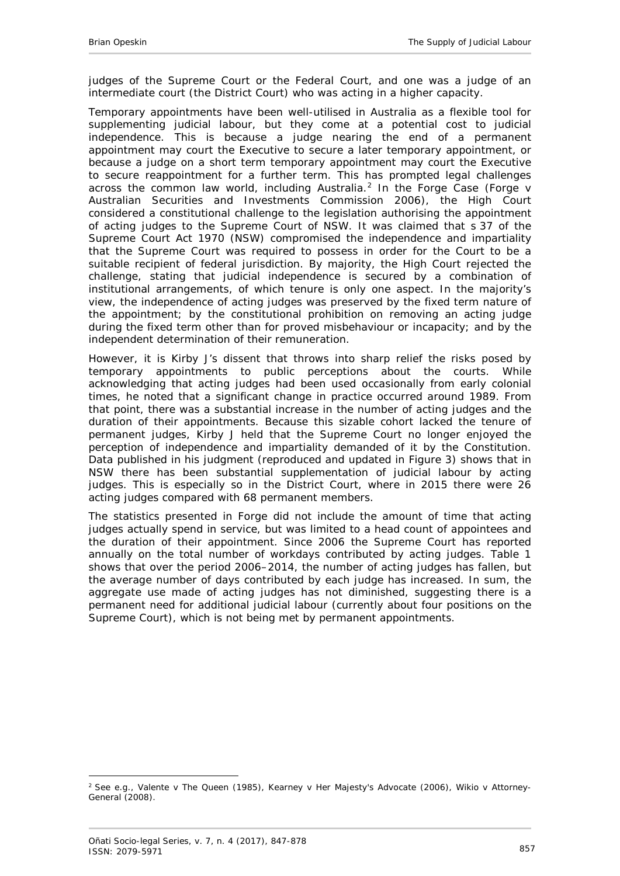judges of the Supreme Court or the Federal Court, and one was a judge of an intermediate court (the District Court) who was acting in a higher capacity.

Temporary appointments have been well-utilised in Australia as a flexible tool for supplementing judicial labour, but they come at a potential cost to judicial independence. This is because a judge nearing the end of a permanent appointment may court the Executive to secure a later temporary appointment, or because a judge on a short term temporary appointment may court the Executive to secure reappointment for a further term. This has prompted legal challenges across the common law world, including Australia.[2](#page-10-0) In the *Forge Case* (*Forge v Australian Securities and Investments Commission* 2006), the High Court considered a constitutional challenge to the legislation authorising the appointment of acting judges to the Supreme Court of NSW. It was claimed that s 37 of the *Supreme Court Act 1970* (NSW) compromised the independence and impartiality that the Supreme Court was required to possess in order for the Court to be a suitable recipient of federal jurisdiction. By majority, the High Court rejected the challenge, stating that judicial independence is secured by a combination of institutional arrangements, of which tenure is only one aspect. In the majority's view, the independence of acting judges was preserved by the fixed term nature of the appointment; by the constitutional prohibition on removing an acting judge during the fixed term other than for proved misbehaviour or incapacity; and by the independent determination of their remuneration.

However, it is Kirby J's dissent that throws into sharp relief the risks posed by temporary appointments to public perceptions about the courts. While acknowledging that acting judges had been used occasionally from early colonial times, he noted that a significant change in practice occurred around 1989. From that point, there was a substantial increase in the number of acting judges and the duration of their appointments. Because this sizable cohort lacked the tenure of permanent judges, Kirby J held that the Supreme Court no longer enjoyed the perception of independence and impartiality demanded of it by the Constitution. Data published in his judgment (reproduced and updated in Figure 3) shows that in NSW there has been substantial supplementation of judicial labour by acting judges. This is especially so in the District Court, where in 2015 there were 26 acting judges compared with 68 permanent members.

The statistics presented in *Forge* did not include the amount of time that acting judges actually spend in service, but was limited to a head count of appointees and the duration of their appointment. Since 2006 the Supreme Court has reported annually on the total number of workdays contributed by acting judges. Table 1 shows that over the period 2006–2014, the number of acting judges has fallen, but the average number of days contributed by each judge has increased. In sum, the aggregate use made of acting judges has not diminished, suggesting there is a permanent need for additional judicial labour (currently about four positions on the Supreme Court), which is not being met by permanent appointments.

-

<span id="page-10-0"></span><sup>2</sup> See e.g., *Valente v The Queen* (1985), *Kearney v Her Majesty's Advocate* (2006), *Wikio v Attorney-General* (2008).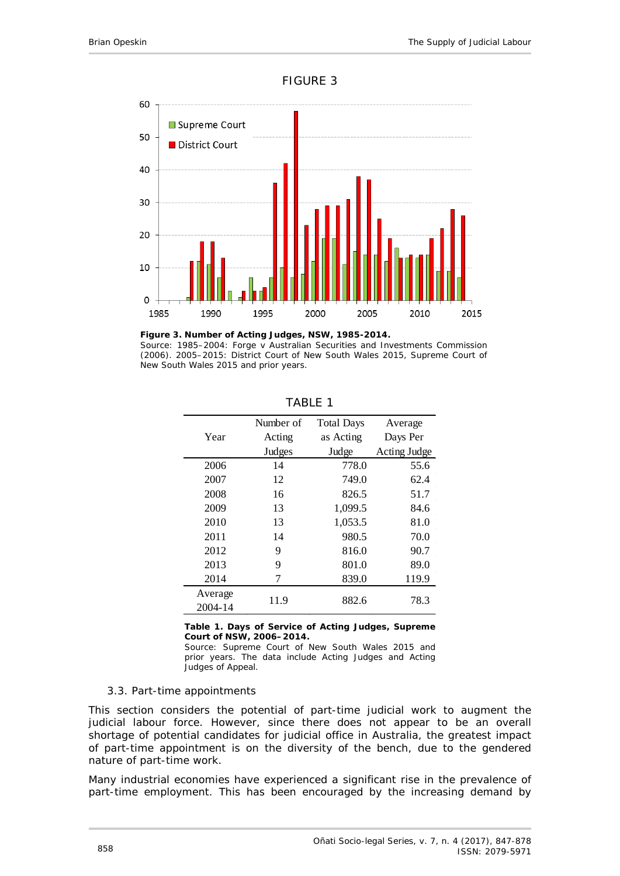



**Figure 3. Number of Acting Judges, NSW, 1985-2014.** Source: 1985–2004: *Forge v Australian Securities and Investments Commission* (2006). 2005–2015: [District Court of New South Wales 2015,](#page-27-1) [Supreme Court of](#page-30-1)  [New South Wales 2015](#page-30-1) and prior years.

|         | Number of | <b>Total Days</b> | Average      |  |
|---------|-----------|-------------------|--------------|--|
| Year    | Acting    | as Acting         | Days Per     |  |
|         | Judges    | Judge             | Acting Judge |  |
| 2006    | 14        | 778.0             | 55.6         |  |
| 2007    | 12        | 749.0             | 62.4         |  |
| 2008    | 16        | 826.5             | 51.7         |  |
| 2009    | 13        | 1,099.5           | 84.6         |  |
| 2010    | 13        | 1,053.5           | 81.0         |  |
| 2011    | 14        | 980.5             | 70.0         |  |
| 2012    | 9         | 816.0             | 90.7         |  |
| 2013    | 9         | 801.0             | 89.0         |  |
| 2014    | 7         | 839.0             | 119.9        |  |
| Average |           |                   |              |  |
| 2004-14 | 11.9      | 882.6             | 78.3         |  |

TABLE 1

**Table 1. Days of Service of Acting Judges, Supreme Court of NSW, 2006–2014.**

Source: [Supreme Court of New South Wales 2015](#page-30-1) and prior years. The data include Acting Judges and Acting Judges of Appeal.

#### <span id="page-11-0"></span>*3.3. Part-time appointments*

This section considers the potential of part-time judicial work to augment the judicial labour force. However, since there does not appear to be an overall shortage of potential candidates for judicial office in Australia, the greatest impact of part-time appointment is on the diversity of the bench, due to the gendered nature of part-time work.

Many industrial economies have experienced a significant rise in the prevalence of part-time employment. This has been encouraged by the increasing demand by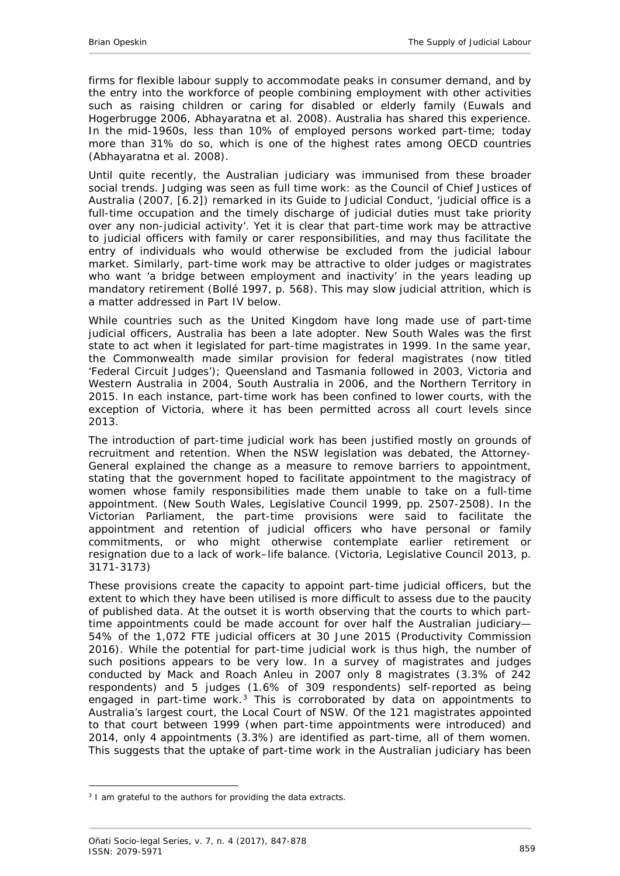firms for flexible labour supply to accommodate peaks in consumer demand, and by the entry into the workforce of people combining employment with other activities such as raising children or caring for disabled or elderly family [\(Euwals and](#page-27-3)  [Hogerbrugge 2006,](#page-27-3) [Abhayaratna](#page-26-5) *et al*. 2008). Australia has shared this experience. In the mid-1960s, less than 10% of employed persons worked part-time; today more than 31% do so, which is one of the highest rates among OECD countries [\(Abhayaratna](#page-26-5) *et al*. 2008).

Until quite recently, the Australian judiciary was immunised from these broader social trends. Judging was seen as full time work: as the Council of Chief Justices of Australia [\(2007, \[6.2\]\)](#page-27-4) remarked in its *Guide to Judicial Conduct*, 'judicial office is a full-time occupation and the timely discharge of judicial duties must take priority over any non-judicial activity'. Yet it is clear that part-time work may be attractive to judicial officers with family or carer responsibilities, and may thus facilitate the entry of individuals who would otherwise be excluded from the judicial labour market. Similarly, part-time work may be attractive to older judges or magistrates who want 'a bridge between employment and inactivity' in the years leading up mandatory retirement [\(Bollé 1997, p. 568\)](#page-27-5). This may slow judicial attrition, which is a matter addressed in Part IV below.

While countries such as the United Kingdom have long made use of part-time judicial officers, Australia has been a late adopter. New South Wales was the first state to act when it legislated for part-time magistrates in 1999. In the same year, the Commonwealth made similar provision for federal magistrates (now titled 'Federal Circuit Judges'); Queensland and Tasmania followed in 2003, Victoria and Western Australia in 2004, South Australia in 2006, and the Northern Territory in 2015. In each instance, part-time work has been confined to lower courts, with the exception of Victoria, where it has been permitted across all court levels since 2013.

The introduction of part-time judicial work has been justified mostly on grounds of recruitment and retention. When the NSW legislation was debated, the Attorney-General explained the change as a measure to remove barriers to appointment, stating that the government hoped to facilitate appointment to the magistracy of women whose family responsibilities made them unable to take on a full-time appointment. (New South Wales, Legislative Council 1999, pp. 2507-2508). In the Victorian Parliament, the part-time provisions were said to facilitate the appointment and retention of judicial officers who have personal or family commitments, or who might otherwise contemplate earlier retirement or resignation due to a lack of work–life balance. (Victoria, Legislative Council 2013, p. 3171-3173)

These provisions create the *capacity* to appoint part-time judicial officers, but the extent to which they have been utilised is more difficult to assess due to the paucity of published data. At the outset it is worth observing that the courts to which parttime appointments could be made account for over half the Australian judiciary— 54% of the 1,072 FTE judicial officers at 30 June 2015 (Productivity Commission 2016). While the potential for part-time judicial work is thus high, the number of such positions appears to be very low. In a survey of magistrates and judges conducted by Mack and Roach Anleu in 2007 only 8 magistrates (3.3% of 242 respondents) and 5 judges (1.6% of 309 respondents) self-reported as being engaged in part-time work.<sup>[3](#page-12-0)</sup> This is corroborated by data on appointments to Australia's largest court, the Local Court of NSW. Of the 121 magistrates appointed to that court between 1999 (when part-time appointments were introduced) and 2014, only 4 appointments (3.3%) are identified as part-time, all of them women. This suggests that the uptake of part-time work in the Australian judiciary has been

<span id="page-12-0"></span><sup>-</sup> $3$  I am grateful to the authors for providing the data extracts.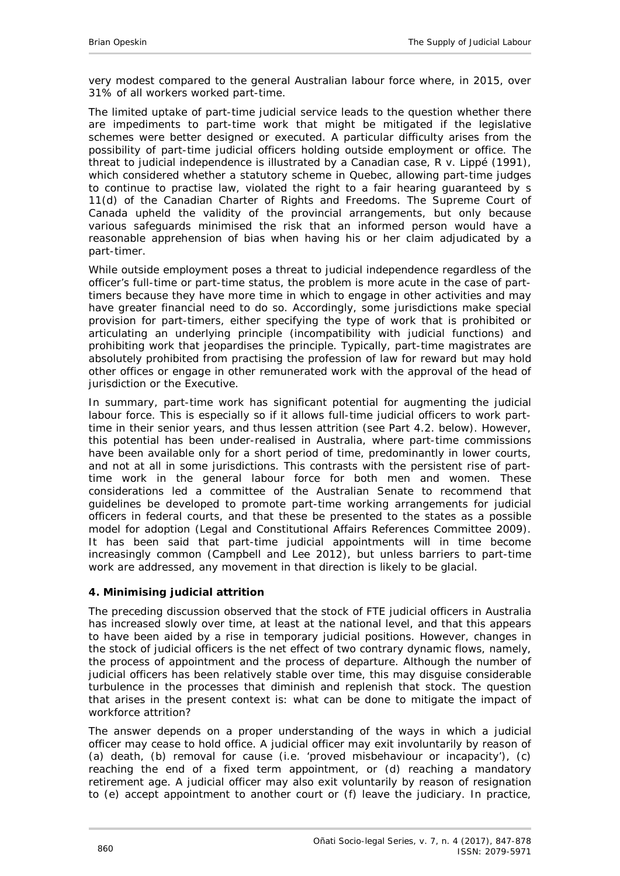very modest compared to the general Australian labour force where, in 2015, over 31% of all workers worked part-time.

The limited uptake of part-time judicial service leads to the question whether there are impediments to part-time work that might be mitigated if the legislative schemes were better designed or executed. A particular difficulty arises from the possibility of part-time judicial officers holding outside employment or office. The threat to judicial independence is illustrated by a Canadian case, *R v. Lippé* (1991), which considered whether a statutory scheme in Quebec, allowing part-time judges to continue to practise law, violated the right to a fair hearing guaranteed by s 11(d) of the *Canadian Charter of Rights and Freedoms*. The Supreme Court of Canada upheld the validity of the provincial arrangements, but only because various safeguards minimised the risk that an informed person would have a reasonable apprehension of bias when having his or her claim adjudicated by a part-timer.

While outside employment poses a threat to judicial independence regardless of the officer's full-time or part-time status, the problem is more acute in the case of parttimers because they have more time in which to engage in other activities and may have greater financial need to do so. Accordingly, some jurisdictions make special provision for part-timers, either specifying the type of work that is prohibited or articulating an underlying principle (incompatibility with judicial functions) and prohibiting work that jeopardises the principle. Typically, part-time magistrates are absolutely prohibited from practising the profession of law for reward but may hold other offices or engage in other remunerated work with the approval of the head of jurisdiction or the Executive.

In summary, part-time work has significant potential for augmenting the judicial labour force. This is especially so if it allows full-time judicial officers to work parttime in their senior years, and thus lessen attrition (see Part 4.2. below). However, this potential has been under-realised in Australia, where part-time commissions have been available only for a short period of time, predominantly in lower courts, and not at all in some jurisdictions. This contrasts with the persistent rise of parttime work in the general labour force for both men and women. These considerations led a committee of the Australian Senate to recommend that guidelines be developed to promote part-time working arrangements for judicial officers in federal courts, and that these be presented to the states as a possible model for adoption [\(Legal and Constitutional Affairs References Committee 2009\)](#page-28-4). It has been said that part-time judicial appointments will in time become increasingly common [\(Campbell and Lee 2012\)](#page-27-6), but unless barriers to part-time work are addressed, any movement in that direction is likely to be glacial.

#### <span id="page-13-0"></span>**4. Minimising judicial attrition**

The preceding discussion observed that the *stock* of FTE judicial officers in Australia has increased slowly over time, at least at the national level, and that this appears to have been aided by a rise in temporary judicial positions. However, changes in the stock of judicial officers is the net effect of two contrary dynamic *flows*, namely, the process of appointment and the process of departure. Although the number of judicial officers has been relatively stable over time, this may disguise considerable turbulence in the processes that diminish and replenish that stock. The question that arises in the present context is: what can be done to mitigate the impact of workforce attrition?

The answer depends on a proper understanding of the ways in which a judicial officer may cease to hold office. A judicial officer may exit *involuntarily* by reason of (a) death, (b) removal for cause (i.e. 'proved misbehaviour or incapacity'), (c) reaching the end of a fixed term appointment, or (d) reaching a mandatory retirement age. A judicial officer may also exit *voluntarily* by reason of resignation to (e) accept appointment to another court or (f) leave the judiciary. In practice,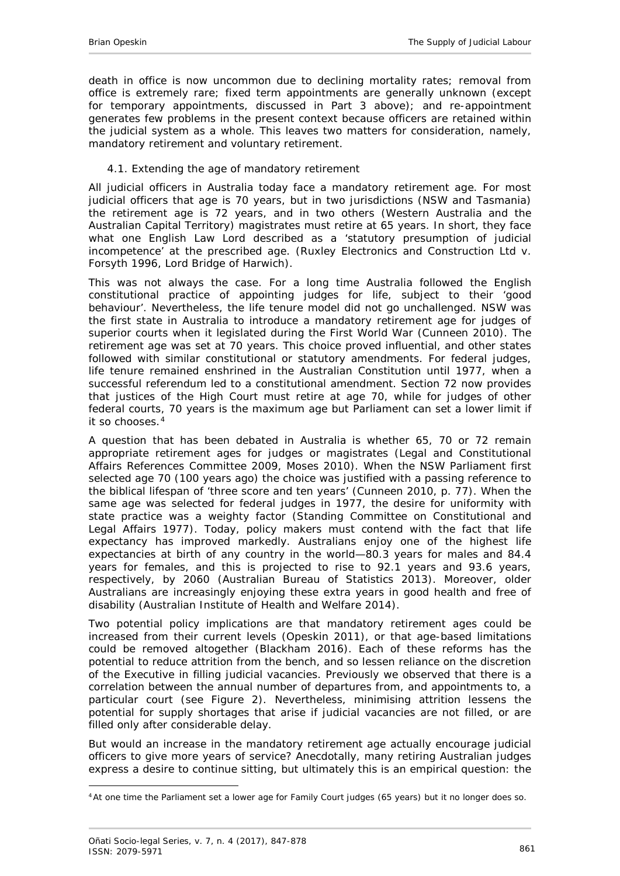death in office is now uncommon due to declining mortality rates; removal from office is extremely rare; fixed term appointments are generally unknown (except for temporary appointments, discussed in Part 3 above); and re-appointment generates few problems in the present context because officers are retained within the judicial system as a whole. This leaves two matters for consideration, namely, mandatory retirement and voluntary retirement.

## <span id="page-14-0"></span>*4.1. Extending the age of mandatory retirement*

All judicial officers in Australia today face a mandatory retirement age. For most judicial officers that age is 70 years, but in two jurisdictions (NSW and Tasmania) the retirement age is 72 years, and in two others (Western Australia and the Australian Capital Territory) magistrates must retire at 65 years. In short, they face what one English Law Lord described as a 'statutory presumption of judicial incompetence' at the prescribed age. (*Ruxley Electronics and Construction Ltd v. Forsyth* 1996, Lord Bridge of Harwich).

This was not always the case. For a long time Australia followed the English constitutional practice of appointing judges for life, subject to their 'good behaviour'. Nevertheless, the life tenure model did not go unchallenged. NSW was the first state in Australia to introduce a mandatory retirement age for judges of superior courts when it legislated during the First World War [\(Cunneen 2010\)](#page-27-7). The retirement age was set at 70 years. This choice proved influential, and other states followed with similar constitutional or statutory amendments. For federal judges, life tenure remained enshrined in the Australian Constitution until 1977, when a successful referendum led to a constitutional amendment. Section 72 now provides that justices of the High Court must retire at age 70, while for judges of other federal courts, 70 years is the maximum age but Parliament can set a lower limit if it so chooses.[4](#page-14-1)

A question that has been debated in Australia is whether 65, 70 or 72 remain appropriate retirement ages for judges or magistrates [\(Legal and Constitutional](#page-28-4)  [Affairs References Committee 2009,](#page-28-4) [Moses 2010\)](#page-29-4). When the NSW Parliament first selected age 70 (100 years ago) the choice was justified with a passing reference to the biblical lifespan of 'three score and ten years' [\(Cunneen 2010, p. 77\)](#page-27-7). When the same age was selected for federal judges in 1977, the desire for uniformity with state practice was a weighty factor [\(Standing Committee on Constitutional and](#page-30-3)  [Legal Affairs 1977\)](#page-30-3). Today, policy makers must contend with the fact that life expectancy has improved markedly. Australians enjoy one of the highest life expectancies at birth of any country in the world—80.3 years for males and 84.4 years for females, and this is projected to rise to 92.1 years and 93.6 years, respectively, by 2060 [\(Australian Bureau of Statistics 2013\)](#page-26-6). Moreover, older Australians are increasingly enjoying these extra years in good health and free of disability [\(Australian Institute of Health and Welfare 2014\)](#page-27-8).

Two potential policy implications are that mandatory retirement ages could be increased from their current levels [\(Opeskin 2011\)](#page-29-3), or that age-based limitations could be removed altogether [\(Blackham 2016\)](#page-27-9). Each of these reforms has the potential to reduce attrition from the bench, and so lessen reliance on the discretion of the Executive in filling judicial vacancies. Previously we observed that there is a correlation between the annual number of departures from, and appointments to, a particular court (see Figure 2). Nevertheless, minimising attrition lessens the potential for supply shortages that arise if judicial vacancies are not filled, or are filled only after considerable delay.

But would an increase in the mandatory retirement age actually encourage judicial officers to give more years of service? Anecdotally, many retiring Australian judges express a desire to continue sitting, but ultimately this is an empirical question: the

-

<span id="page-14-1"></span><sup>4</sup>At one time the Parliament set a lower age for Family Court judges (65 years) but it no longer does so.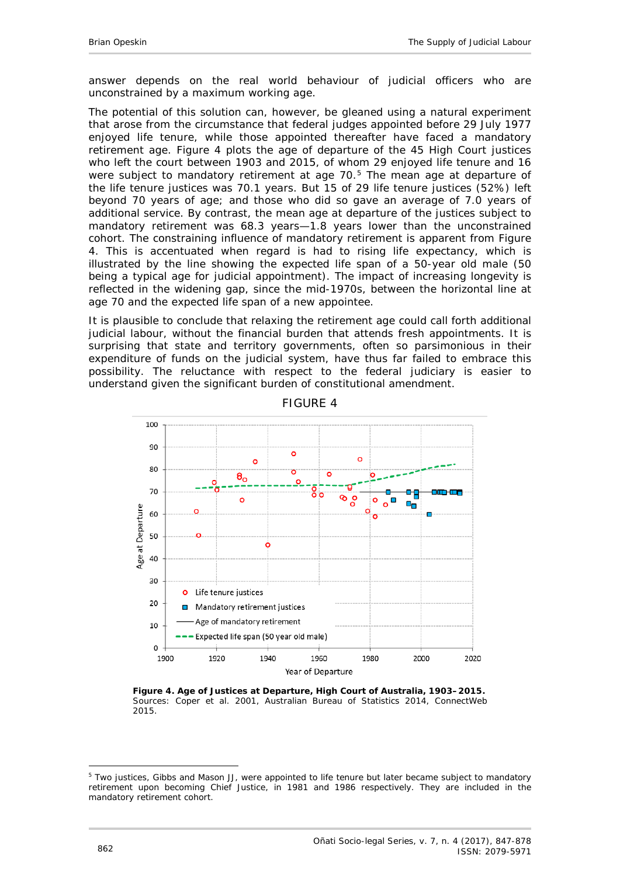answer depends on the real world behaviour of judicial officers who are unconstrained by a maximum working age.

The potential of this solution can, however, be gleaned using a natural experiment that arose from the circumstance that federal judges appointed before 29 July 1977 enjoyed life tenure, while those appointed thereafter have faced a mandatory retirement age. Figure 4 plots the age of departure of the 45 High Court justices who left the court between 1903 and 2015, of whom 29 enjoyed life tenure and 16 were subject to mandatory retirement at age 70.<sup>[5](#page-15-0)</sup> The mean age at departure of the life tenure justices was 70.1 years. But 15 of 29 life tenure justices (52%) left beyond 70 years of age; and those who did so gave an average of 7.0 years of additional service. By contrast, the mean age at departure of the justices subject to mandatory retirement was 68.3 years—1.8 years lower than the unconstrained cohort. The constraining influence of mandatory retirement is apparent from Figure 4. This is accentuated when regard is had to rising life expectancy, which is illustrated by the line showing the expected life span of a 50-year old male (50 being a typical age for judicial appointment). The impact of increasing longevity is reflected in the widening gap, since the mid-1970s, between the horizontal line at age 70 and the expected life span of a new appointee.

It is plausible to conclude that relaxing the retirement age could call forth additional judicial labour, without the financial burden that attends fresh appointments. It is surprising that state and territory governments, often so parsimonious in their expenditure of funds on the judicial system, have thus far failed to embrace this possibility. The reluctance with respect to the federal judiciary is easier to understand given the significant burden of constitutional amendment.



FIGURE 4

**Figure 4. Age of Justices at Departure, High Court of Australia, 1903–2015.** Sources: [Coper](#page-27-10) *et al.* 2001, [Australian Bureau of Statistics 2014,](#page-26-7) [ConnectWeb](#page-27-11)  [2015.](#page-27-11)

<span id="page-15-0"></span><sup>-</sup><sup>5</sup> Two justices, Gibbs and Mason JJ, were appointed to life tenure but later became subject to mandatory retirement upon becoming Chief Justice, in 1981 and 1986 respectively. They are included in the mandatory retirement cohort.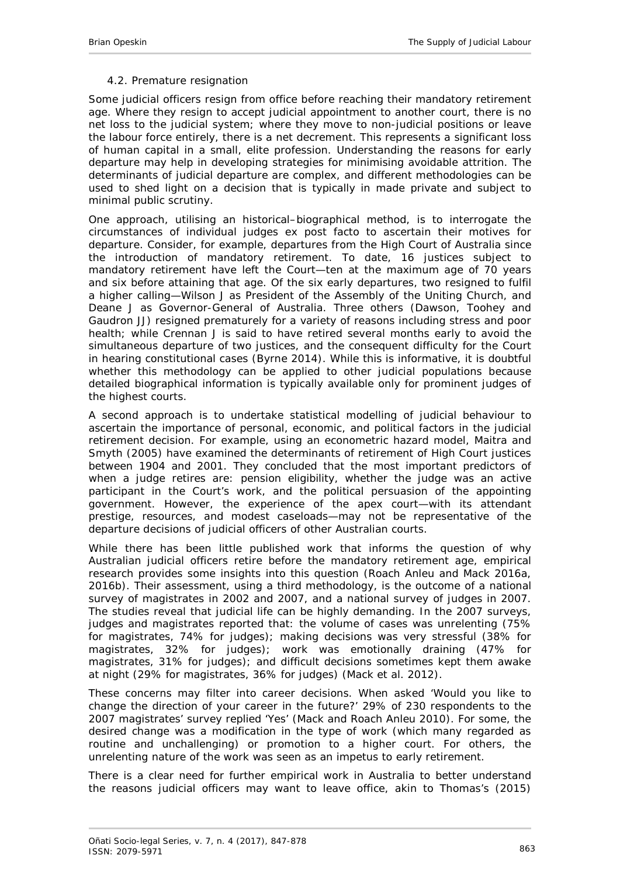### *4.2. Premature resignation*

<span id="page-16-0"></span>Some judicial officers resign from office before reaching their mandatory retirement age. Where they resign to accept judicial appointment to another court, there is no net loss to the judicial system; where they move to non-judicial positions or leave the labour force entirely, there is a net decrement. This represents a significant loss of human capital in a small, elite profession. Understanding the reasons for early departure may help in developing strategies for minimising avoidable attrition. The determinants of judicial departure are complex, and different methodologies can be used to shed light on a decision that is typically in made private and subject to minimal public scrutiny.

One approach, utilising an historical–biographical method, is to interrogate the circumstances of individual judges *ex post facto* to ascertain their motives for departure. Consider, for example, departures from the High Court of Australia since the introduction of mandatory retirement. To date, 16 justices subject to mandatory retirement have left the Court—ten at the maximum age of 70 years and six before attaining that age. Of the six early departures, two resigned to fulfil a higher calling—Wilson J as President of the Assembly of the Uniting Church, and Deane J as Governor-General of Australia. Three others (Dawson, Toohey and Gaudron JJ) resigned prematurely for a variety of reasons including stress and poor health; while Crennan J is said to have retired several months early to avoid the simultaneous departure of two justices, and the consequent difficulty for the Court in hearing constitutional cases [\(Byrne 2014\)](#page-27-12). While this is informative, it is doubtful whether this methodology can be applied to other judicial populations because detailed biographical information is typically available only for prominent judges of the highest courts.

A second approach is to undertake statistical modelling of judicial behaviour to ascertain the importance of personal, economic, and political factors in the judicial retirement decision. For example, using an econometric hazard model, Maitra and Smyth [\(2005\)](#page-29-5) have examined the determinants of retirement of High Court justices between 1904 and 2001. They concluded that the most important predictors of when a judge retires are: pension eligibility, whether the judge was an active participant in the Court's work, and the political persuasion of the appointing government. However, the experience of the apex court—with its attendant prestige, resources, and modest caseloads—may not be representative of the departure decisions of judicial officers of other Australian courts.

While there has been little published work that informs the question of why Australian judicial officers retire before the mandatory retirement age, empirical research provides some insights into this question [\(Roach Anleu and Mack 2016a,](#page-29-6) [2016b\)](#page-29-7). Their assessment, using a third methodology, is the outcome of a national survey of magistrates in 2002 and 2007, and a national survey of judges in 2007. The studies reveal that judicial life can be highly demanding. In the 2007 surveys, judges and magistrates reported that: the volume of cases was unrelenting (75% for magistrates, 74% for judges); making decisions was very stressful (38% for magistrates, 32% for judges); work was emotionally draining (47% for magistrates, 31% for judges); and difficult decisions sometimes kept them awake at night (29% for magistrates, 36% for judges) (Mack *et al*[. 2012\)](#page-28-5).

These concerns may filter into career decisions. When asked '*Would you like to change the direction of your career in the future?*' 29% of 230 respondents to the 2007 magistrates' survey replied 'Yes' [\(Mack and Roach Anleu 2010\)](#page-28-6). For some, the desired change was a modification in the type of work (which many regarded as routine and unchallenging) or promotion to a higher court. For others, the unrelenting nature of the work was seen as an impetus to early retirement.

There is a clear need for further empirical work in Australia to better understand the reasons judicial officers may want to leave office, akin to Thomas's [\(2015\)](#page-30-4)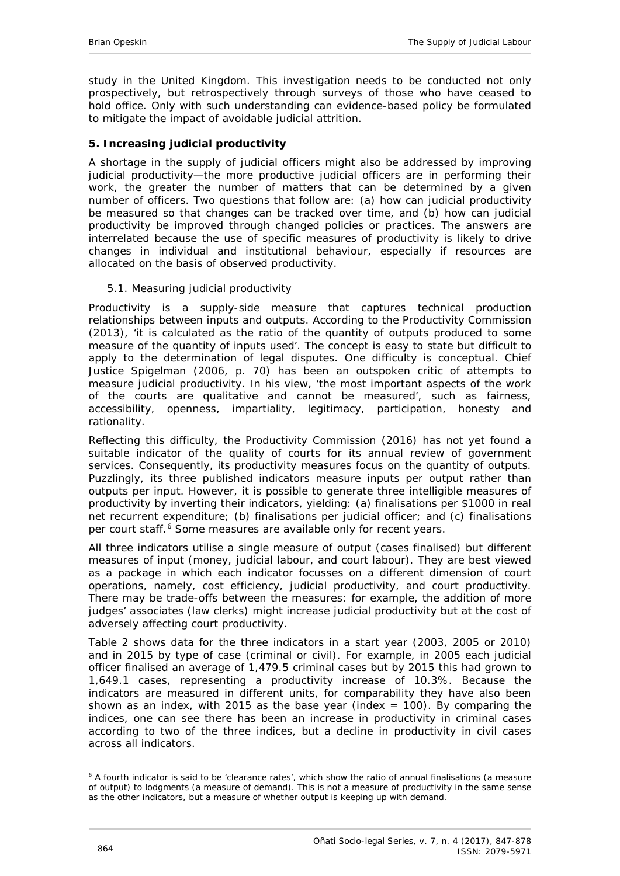study in the United Kingdom. This investigation needs to be conducted not only prospectively, but retrospectively through surveys of those who have ceased to hold office. Only with such understanding can evidence-based policy be formulated to mitigate the impact of avoidable judicial attrition.

## <span id="page-17-0"></span>**5. Increasing judicial productivity**

A shortage in the supply of judicial officers might also be addressed by improving judicial productivity—the more productive judicial officers are in performing their work, the greater the number of matters that can be determined by a given number of officers. Two questions that follow are: (a) how can judicial productivity be *measured* so that changes can be tracked over time, and (b) how can judicial productivity be *improved* through changed policies or practices. The answers are interrelated because the use of specific measures of productivity is likely to drive changes in individual and institutional behaviour, especially if resources are allocated on the basis of observed productivity.

## <span id="page-17-1"></span>*5.1. Measuring judicial productivity*

Productivity is a supply-side measure that captures technical production relationships between inputs and outputs. According to the Productivity Commission [\(2013\)](#page-29-8), 'it is calculated as the ratio of the quantity of outputs produced to some measure of the quantity of inputs used'. The concept is easy to state but difficult to apply to the determination of legal disputes. One difficulty is conceptual. Chief Justice Spigelman [\(2006, p. 70\)](#page-30-5) has been an outspoken critic of attempts to measure judicial productivity. In his view, 'the most important aspects of the work of the courts are qualitative and cannot be measured', such as fairness, accessibility, openness, impartiality, legitimacy, participation, honesty and rationality.

Reflecting this difficulty, the Productivity Commission (2016) has not yet found a suitable indicator of the quality of courts for its annual review of government services. Consequently, its productivity measures focus on the *quantity* of outputs. Puzzlingly, its three published indicators measure inputs per output rather than outputs per input. However, it is possible to generate three intelligible measures of productivity by inverting their indicators, yielding: (a) finalisations per \$1000 in real net recurrent expenditure; (b) finalisations per judicial officer; and (c) finalisations per court staff.<sup>[6](#page-17-2)</sup> Some measures are available only for recent years.

All three indicators utilise a single measure of output (cases finalised) but different measures of input (money, judicial labour, and court labour). They are best viewed as a package in which each indicator focusses on a different dimension of court operations, namely, *cost* efficiency, *judicial* productivity, and *court* productivity. There may be trade-offs between the measures: for example, the addition of more judges' associates (law clerks) might increase judicial productivity but at the cost of adversely affecting court productivity.

Table 2 shows data for the three indicators in a start year (2003, 2005 or 2010) and in 2015 by type of case (criminal or civil). For example, in 2005 each judicial officer finalised an average of 1,479.5 criminal cases but by 2015 this had grown to 1,649.1 cases, representing a productivity increase of 10.3%. Because the indicators are measured in different units, for comparability they have also been shown as an index, with 2015 as the base year (index  $= 100$ ). By comparing the indices, one can see there has been an increase in productivity in criminal cases according to two of the three indices, but a decline in productivity in civil cases across all indicators.

<span id="page-17-2"></span><sup>-</sup><sup>6</sup> A fourth indicator is said to be 'clearance rates', which show the ratio of annual finalisations (a measure of output) to lodgments (a measure of demand). This is not a measure of productivity in the same sense as the other indicators, but a measure of whether output is keeping up with demand.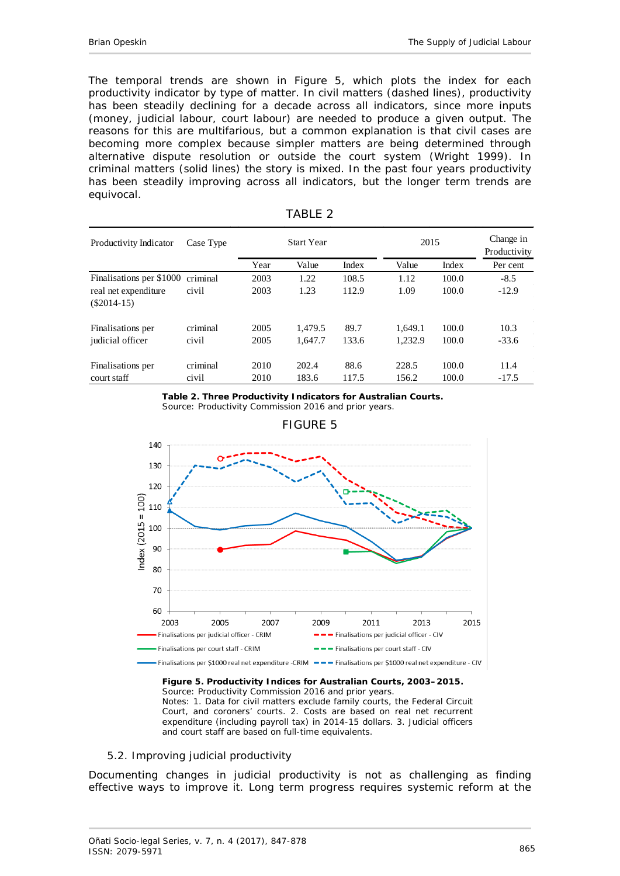The temporal trends are shown in Figure 5, which plots the index for each productivity indicator by type of matter. In civil matters (dashed lines), productivity has been steadily declining for a decade across all indicators, since more inputs (money, judicial labour, court labour) are needed to produce a given output. The reasons for this are multifarious, but a common explanation is that civil cases are becoming more complex because simpler matters are being determined through alternative dispute resolution or outside the court system [\(Wright 1999\)](#page-30-6). In criminal matters (solid lines) the story is mixed. In the past four years productivity has been steadily improving across all indicators, but the longer term trends are equivocal.

| Productivity Indicator                | Case Type | <b>Start Year</b> |         |       | 2015    |       | Change in<br>Productivity |
|---------------------------------------|-----------|-------------------|---------|-------|---------|-------|---------------------------|
|                                       |           | Year              | Value   | Index | Value   | Index | Per cent                  |
| Finalisations per \$1000              | criminal  | 2003              | 1.22    | 108.5 | 1.12    | 100.0 | $-8.5$                    |
| real net expenditure<br>$(\$2014-15)$ | civil     | 2003              | 1.23    | 112.9 | 1.09    | 100.0 | $-12.9$                   |
| Finalisations per                     | criminal  | 2005              | 1.479.5 | 89.7  | 1.649.1 | 100.0 | 10.3                      |
| judicial officer                      | civil     | 2005              | 1,647.7 | 133.6 | 1.232.9 | 100.0 | $-33.6$                   |
| Finalisations per                     | criminal  | 2010              | 202.4   | 88.6  | 228.5   | 100.0 | 11.4                      |
| court staff                           | civil     | 2010              | 183.6   | 117.5 | 156.2   | 100.0 | $-17.5$                   |

TABLE 2



Source: Productivity Commission 2016 and prior years.

<span id="page-18-0"></span>

#### FIGURE 5

#### **Figure 5. Productivity Indices for Australian Courts, 2003–2015.**

Source: Productivity Commission 2016 and prior years. Notes: 1. Data for civil matters exclude family courts, the Federal Circuit Court, and coroners' courts. 2. Costs are based on real net recurrent expenditure (including payroll tax) in 2014-15 dollars. 3. Judicial officers and court staff are based on full-time equivalents.

#### *5.2. Improving judicial productivity*

Documenting changes in judicial productivity is not as challenging as finding effective ways to improve it. Long term progress requires systemic reform at the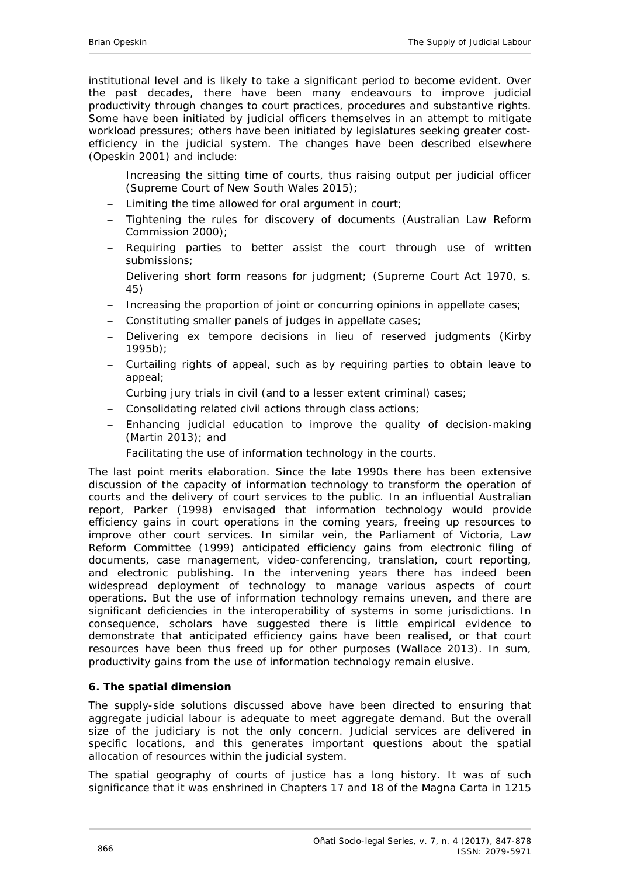institutional level and is likely to take a significant period to become evident. Over the past decades, there have been many endeavours to improve judicial productivity through changes to court practices, procedures and substantive rights. Some have been initiated by judicial officers themselves in an attempt to mitigate workload pressures; others have been initiated by legislatures seeking greater costefficiency in the judicial system. The changes have been described elsewhere [\(Opeskin 2001\)](#page-29-1) and include:

- Increasing the sitting time of courts, thus raising output per judicial officer [\(Supreme Court of New South Wales 2015\)](#page-30-1);
- Limiting the time allowed for oral argument in court;
- − Tightening the rules for discovery of documents [\(Australian Law Reform](#page-27-13)  [Commission 2000\)](#page-27-13);
- Requiring parties to better assist the court through use of written submissions;
- − Delivering short form reasons for judgment; (*Supreme Court Act 1970*, s. 45)
- − Increasing the proportion of joint or concurring opinions in appellate cases;
- − Constituting smaller panels of judges in appellate cases;
- − Delivering *ex tempore* decisions in lieu of reserved judgments [\(Kirby](#page-28-7)  [1995b](#page-28-7));
- − Curtailing rights of appeal, such as by requiring parties to obtain leave to appeal;
- − Curbing jury trials in civil (and to a lesser extent criminal) cases;
- − Consolidating related civil actions through class actions;
- − Enhancing judicial education to improve the quality of decision-making [\(Martin 2013\)](#page-29-9); and
- Facilitating the use of information technology in the courts.

The last point merits elaboration. Since the late 1990s there has been extensive discussion of the capacity of information technology to transform the operation of courts and the delivery of court services to the public. In an influential Australian report, Parker [\(1998\)](#page-29-10) envisaged that information technology would provide efficiency gains in court operations in the coming years, freeing up resources to improve other court services. In similar vein, the Parliament of Victoria, Law Reform Committee [\(1999\)](#page-29-11) anticipated efficiency gains from electronic filing of documents, case management, video-conferencing, translation, court reporting, and electronic publishing. In the intervening years there has indeed been widespread deployment of technology to manage various aspects of court operations. But the use of information technology remains uneven, and there are significant deficiencies in the interoperability of systems in some jurisdictions. In consequence, scholars have suggested there is little empirical evidence to demonstrate that anticipated efficiency gains have been realised, or that court resources have been thus freed up for other purposes [\(Wallace 2013\)](#page-30-7). In sum, productivity gains from the use of information technology remain elusive.

#### <span id="page-19-0"></span>**6. The spatial dimension**

The supply-side solutions discussed above have been directed to ensuring that aggregate judicial labour is adequate to meet aggregate demand. But the overall size of the judiciary is not the only concern. Judicial services are delivered in specific locations, and this generates important questions about the spatial allocation of resources within the judicial system.

The spatial geography of courts of justice has a long history. It was of such significance that it was enshrined in Chapters 17 and 18 of the Magna Carta in 1215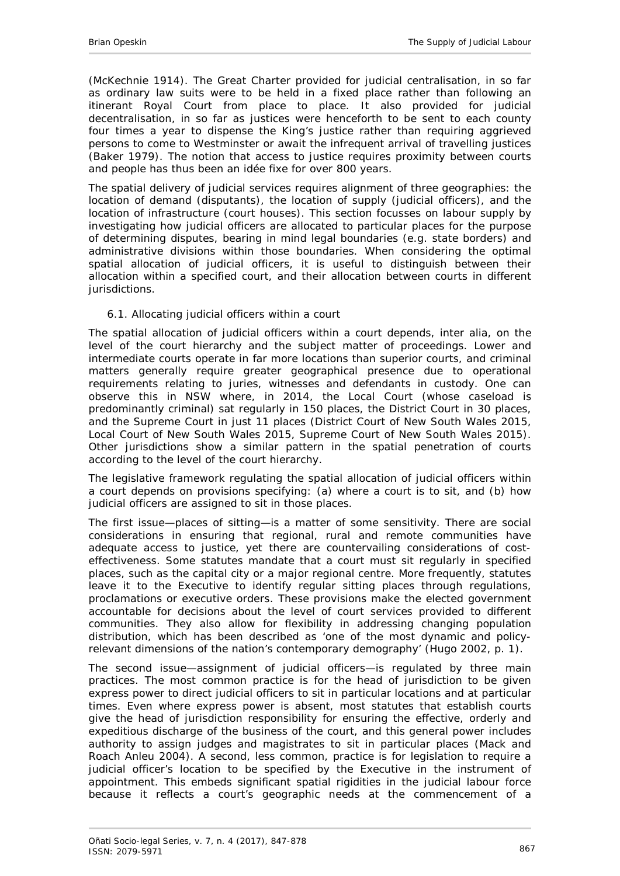[\(McKechnie 1914\)](#page-29-12). The Great Charter provided for judicial centralisation, in so far as ordinary law suits were to be held in a fixed place rather than following an itinerant Royal Court from place to place. It also provided for judicial decentralisation, in so far as justices were henceforth to be sent to each county four times a year to dispense the King's justice rather than requiring aggrieved persons to come to Westminster or await the infrequent arrival of travelling justices [\(Baker 1979\)](#page-27-14). The notion that access to justice requires proximity between courts and people has thus been an idée fixe for over 800 years.

The spatial delivery of judicial services requires alignment of three geographies: the location of demand (disputants), the location of supply (judicial officers), and the location of infrastructure (court houses). This section focusses on labour supply by investigating how judicial officers are allocated to particular places for the purpose of determining disputes, bearing in mind legal boundaries (e.g. state borders) and administrative divisions within those boundaries. When considering the optimal spatial allocation of judicial officers, it is useful to distinguish between their allocation within a specified court, and their allocation between courts in different jurisdictions.

## <span id="page-20-0"></span>*6.1. Allocating judicial officers within a court*

The spatial allocation of judicial officers within a court depends, inter alia, on the level of the court hierarchy and the subject matter of proceedings. Lower and intermediate courts operate in far more locations than superior courts, and criminal matters generally require greater geographical presence due to operational requirements relating to juries, witnesses and defendants in custody. One can observe this in NSW where, in 2014, the Local Court (whose caseload is predominantly criminal) sat regularly in 150 places, the District Court in 30 places, and the Supreme Court in just 11 places [\(District Court of New South Wales 2015,](#page-27-1) [Local Court of New South Wales 2015,](#page-28-2) [Supreme Court of New South Wales 2015\)](#page-30-1). Other jurisdictions show a similar pattern in the spatial penetration of courts according to the level of the court hierarchy.

The legislative framework regulating the spatial allocation of judicial officers within a court depends on provisions specifying: (a) where a court is to *sit*, and (b) how judicial officers are *assigned* to sit in those places.

The first issue—*places of sitting*—is a matter of some sensitivity. There are social considerations in ensuring that regional, rural and remote communities have adequate access to justice, yet there are countervailing considerations of costeffectiveness. Some statutes mandate that a court must sit regularly in specified places, such as the capital city or a major regional centre. More frequently, statutes leave it to the Executive to identify regular sitting places through regulations, proclamations or executive orders. These provisions make the elected government accountable for decisions about the level of court services provided to different communities. They also allow for flexibility in addressing changing population distribution, which has been described as 'one of the most dynamic and policyrelevant dimensions of the nation's contemporary demography' [\(Hugo 2002, p. 1\)](#page-28-8).

The second issue—*assignment of judicial officers*—is regulated by three main practices. The most common practice is for the head of jurisdiction to be given express power to direct judicial officers to sit in particular locations and at particular times. Even where express power is absent, most statutes that establish courts give the head of jurisdiction responsibility for ensuring the effective, orderly and expeditious discharge of the business of the court, and this general power includes authority to assign judges and magistrates to sit in particular places [\(Mack and](#page-28-9)  [Roach Anleu 2004\)](#page-28-9). A second, less common, practice is for legislation to require a judicial officer's location to be specified by the Executive in the instrument of appointment. This embeds significant spatial rigidities in the judicial labour force because it reflects a court's geographic needs at the commencement of a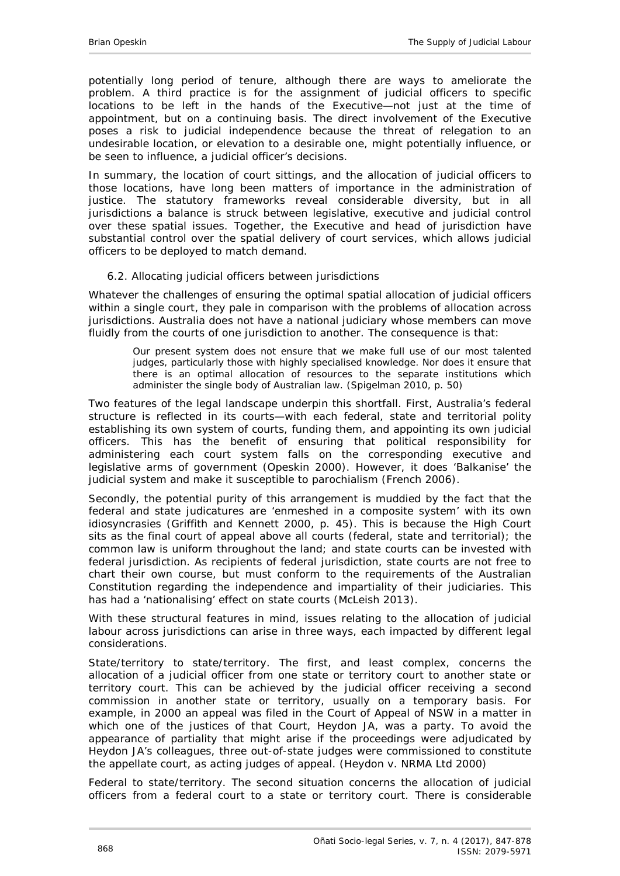potentially long period of tenure, although there are ways to ameliorate the problem. A third practice is for the assignment of judicial officers to specific locations to be left in the hands of the Executive—not just at the time of appointment, but on a continuing basis. The direct involvement of the Executive poses a risk to judicial independence because the threat of relegation to an undesirable location, or elevation to a desirable one, might potentially influence, or be seen to influence, a judicial officer's decisions.

In summary, the location of court sittings, and the allocation of judicial officers to those locations, have long been matters of importance in the administration of justice. The statutory frameworks reveal considerable diversity, but in all jurisdictions a balance is struck between legislative, executive and judicial control over these spatial issues. Together, the Executive and head of jurisdiction have substantial control over the spatial delivery of court services, which allows judicial officers to be deployed to match demand.

### <span id="page-21-0"></span>*6.2. Allocating judicial officers between jurisdictions*

Whatever the challenges of ensuring the optimal spatial allocation of judicial officers within a single court, they pale in comparison with the problems of allocation across jurisdictions. Australia does not have a national judiciary whose members can move fluidly from the courts of one jurisdiction to another. The consequence is that:

Our present system does not ensure that we make full use of our most talented judges, particularly those with highly specialised knowledge. Nor does it ensure that there is an optimal allocation of resources to the separate institutions which administer the single body of Australian law. [\(Spigelman 2010, p. 50\)](#page-30-8)

Two features of the legal landscape underpin this shortfall. First, Australia's federal structure is reflected in its courts—with each federal, state and territorial polity establishing its own system of courts, funding them, and appointing its own judicial officers. This has the benefit of ensuring that political responsibility for administering each court system falls on the corresponding executive and legislative arms of government [\(Opeskin 2000\)](#page-29-13). However, it does 'Balkanise' the judicial system and make it susceptible to parochialism [\(French 2006\)](#page-27-15).

Secondly, the potential purity of this arrangement is muddied by the fact that the federal and state judicatures are 'enmeshed in a composite system' with its own idiosyncrasies [\(Griffith and Kennett 2000, p. 45\)](#page-28-10). This is because the High Court sits as the final court of appeal above all courts (federal, state and territorial); the common law is uniform throughout the land; and state courts can be invested with federal jurisdiction. As recipients of federal jurisdiction, state courts are not free to chart their own course, but must conform to the requirements of the Australian Constitution regarding the independence and impartiality of their judiciaries. This has had a 'nationalising' effect on state courts [\(McLeish 2013\)](#page-29-14).

With these structural features in mind, issues relating to the allocation of judicial labour across jurisdictions can arise in three ways, each impacted by different legal considerations.

*State/territory to state/territory.* The first, and least complex, concerns the allocation of a judicial officer from one state or territory court to another state or territory court. This can be achieved by the judicial officer receiving a second commission in another state or territory, usually on a temporary basis. For example, in 2000 an appeal was filed in the Court of Appeal of NSW in a matter in which one of the justices of that Court, Heydon JA, was a party. To avoid the appearance of partiality that might arise if the proceedings were adjudicated by Heydon JA's colleagues, three out-of-state judges were commissioned to constitute the appellate court, as acting judges of appeal. (*Heydon v. NRMA Ltd* 2000)

*Federal to state/territory*. The second situation concerns the allocation of judicial officers from a federal court to a state or territory court. There is considerable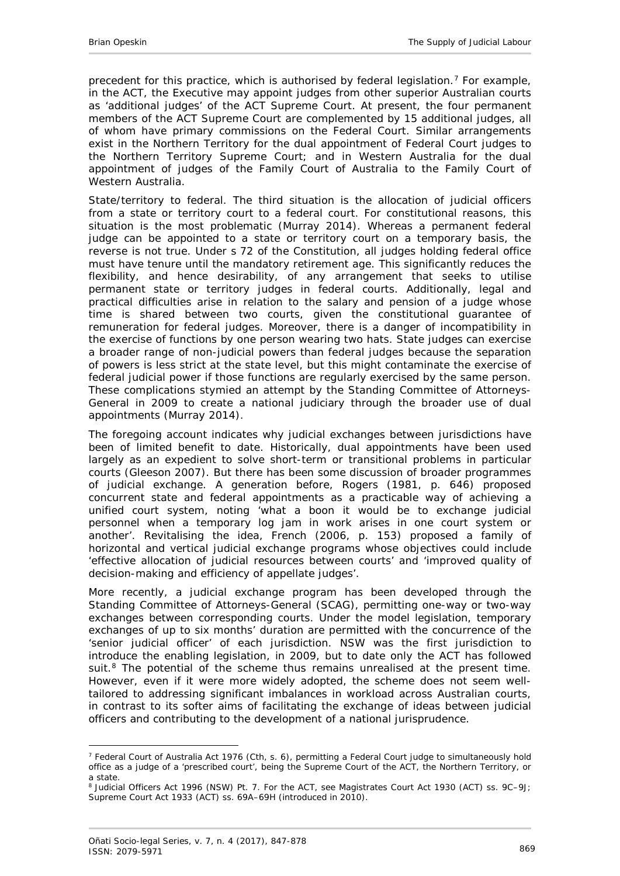precedent for this practice, which is authorised by federal legislation.<sup>[7](#page-22-0)</sup> For example, in the ACT, the Executive may appoint judges from other superior Australian courts as 'additional judges' of the ACT Supreme Court. At present, the four permanent members of the ACT Supreme Court are complemented by 15 additional judges, all of whom have primary commissions on the Federal Court. Similar arrangements exist in the Northern Territory for the dual appointment of Federal Court judges to the Northern Territory Supreme Court; and in Western Australia for the dual appointment of judges of the Family Court of Australia to the Family Court of Western Australia.

*State/territory to federal.* The third situation is the allocation of judicial officers from a state or territory court to a federal court. For constitutional reasons, this situation is the most problematic [\(Murray 2014\)](#page-29-15). Whereas a permanent federal judge can be appointed to a state or territory court on a temporary basis, the reverse is not true. Under s 72 of the Constitution, all judges holding federal office must have tenure until the mandatory retirement age. This significantly reduces the flexibility, and hence desirability, of any arrangement that seeks to utilise permanent state or territory judges in federal courts. Additionally, legal and practical difficulties arise in relation to the salary and pension of a judge whose time is shared between two courts, given the constitutional guarantee of remuneration for federal judges. Moreover, there is a danger of incompatibility in the exercise of functions by one person wearing two hats. State judges can exercise a broader range of non-judicial powers than federal judges because the separation of powers is less strict at the state level, but this might contaminate the exercise of federal judicial power if those functions are regularly exercised by the same person. These complications stymied an attempt by the Standing Committee of Attorneys-General in 2009 to create a national judiciary through the broader use of dual appointments [\(Murray 2014\)](#page-29-15).

The foregoing account indicates why judicial exchanges between jurisdictions have been of limited benefit to date. Historically, dual appointments have been used largely as an expedient to solve short-term or transitional problems in particular courts [\(Gleeson 2007\)](#page-28-11). But there has been some discussion of broader programmes of judicial exchange. A generation before, Rogers [\(1981, p. 646\)](#page-29-16) proposed concurrent state and federal appointments as a practicable way of achieving a unified court system, noting 'what a boon it would be to exchange judicial personnel when a temporary log jam in work arises in one court system or another'. Revitalising the idea, French [\(2006, p. 153\)](#page-27-15) proposed a family of horizontal and vertical judicial exchange programs whose objectives could include 'effective allocation of judicial resources between courts' and 'improved quality of decision-making and efficiency of appellate judges'.

More recently, a judicial exchange program has been developed through the Standing Committee of Attorneys-General (SCAG), permitting one-way or two-way exchanges between corresponding courts. Under the model legislation, temporary exchanges of up to six months' duration are permitted with the concurrence of the 'senior judicial officer' of each jurisdiction. NSW was the first jurisdiction to introduce the enabling legislation, in 2009, but to date only the ACT has followed suit.<sup>8</sup> The potential of the scheme thus remains unrealised at the present time. However, even if it were more widely adopted, the scheme does not seem welltailored to addressing significant imbalances in workload across Australian courts, in contrast to its softer aims of facilitating the exchange of ideas between judicial officers and contributing to the development of a national jurisprudence.

<u>.</u>

<span id="page-22-0"></span><sup>7</sup> Federal Court of Australia Act 1976 (Cth, s. 6), permitting a Federal Court judge to simultaneously hold office as a judge of a 'prescribed court', being the Supreme Court of the ACT, the Northern Territory, or a state.

<span id="page-22-1"></span><sup>8</sup> Judicial Officers Act 1996 (NSW) Pt. 7. For the ACT, see Magistrates Court Act 1930 (ACT) ss. 9C-9J; Supreme Court Act 1933 (ACT) ss. 69A–69H (introduced in 2010).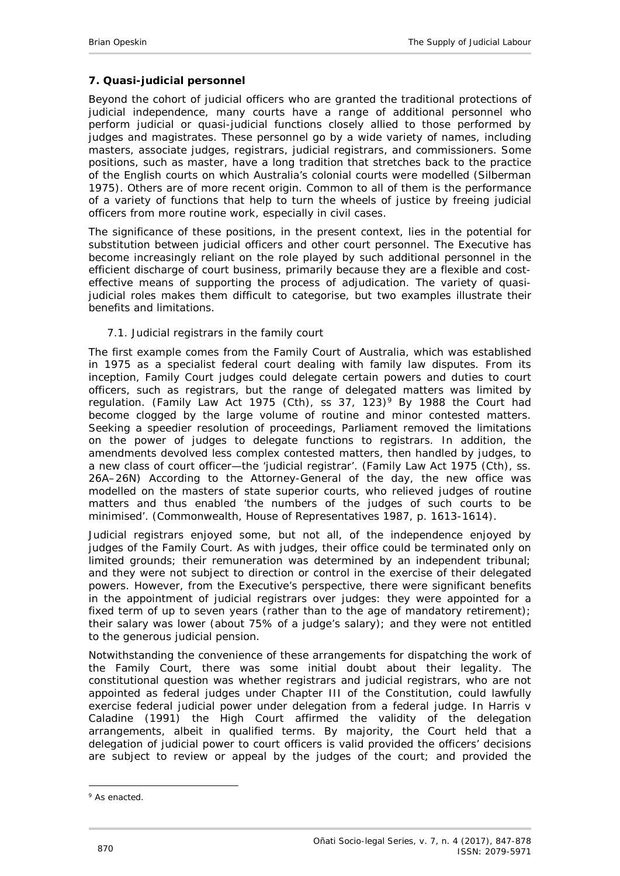## <span id="page-23-0"></span>**7. Quasi-judicial personnel**

Beyond the cohort of judicial officers who are granted the traditional protections of judicial independence, many courts have a range of additional personnel who perform judicial or quasi-judicial functions closely allied to those performed by judges and magistrates. These personnel go by a wide variety of names, including masters, associate judges, registrars, judicial registrars, and commissioners. Some positions, such as master, have a long tradition that stretches back to the practice of the English courts on which Australia's colonial courts were modelled [\(Silberman](#page-30-9)  [1975\)](#page-30-9). Others are of more recent origin. Common to all of them is the performance of a variety of functions that help to turn the wheels of justice by freeing judicial officers from more routine work, especially in civil cases.

The significance of these positions, in the present context, lies in the potential for substitution between judicial officers and other court personnel. The Executive has become increasingly reliant on the role played by such additional personnel in the efficient discharge of court business, primarily because they are a flexible and costeffective means of supporting the process of adjudication. The variety of quasijudicial roles makes them difficult to categorise, but two examples illustrate their benefits and limitations.

## <span id="page-23-1"></span>*7.1. Judicial registrars in the family court*

The first example comes from the Family Court of Australia, which was established in 1975 as a specialist federal court dealing with family law disputes. From its inception, Family Court judges could delegate certain powers and duties to court officers, such as registrars, but the range of delegated matters was limited by regulation. (Family Law Act 1[9](#page-23-2)75 (Cth), ss 37, 123)<sup>9</sup> By 1988 the Court had become clogged by the large volume of routine and minor contested matters. Seeking a speedier resolution of proceedings, Parliament removed the limitations on the power of judges to delegate functions to registrars. In addition, the amendments devolved less complex contested matters, then handled by judges, to a new class of court officer—the 'judicial registrar'. (Family Law Act 1975 (Cth), ss. 26A–26N) According to the Attorney-General of the day, the new office was modelled on the masters of state superior courts, who relieved judges of routine matters and thus enabled 'the numbers of the judges of such courts to be minimised'. (Commonwealth, House of Representatives 1987, p. 1613-1614).

Judicial registrars enjoyed some, but not all, of the independence enjoyed by judges of the Family Court. As with judges, their office could be terminated only on limited grounds; their remuneration was determined by an independent tribunal; and they were not subject to direction or control in the exercise of their delegated powers. However, from the Executive's perspective, there were significant benefits in the appointment of judicial registrars over judges: they were appointed for a fixed term of up to seven years (rather than to the age of mandatory retirement); their salary was lower (about 75% of a judge's salary); and they were not entitled to the generous judicial pension.

Notwithstanding the convenience of these arrangements for dispatching the work of the Family Court, there was some initial doubt about their legality. The constitutional question was whether registrars and judicial registrars, who are not appointed as federal judges under Chapter III of the Constitution, could lawfully exercise federal judicial power under delegation from a federal judge. In *Harris v Caladine* (1991) the High Court affirmed the validity of the delegation arrangements, albeit in qualified terms. By majority, the Court held that a delegation of judicial power to court officers is valid provided the officers' decisions are subject to review or appeal by the judges of the court; and provided the

<span id="page-23-2"></span><sup>-</sup><sup>9</sup> As enacted.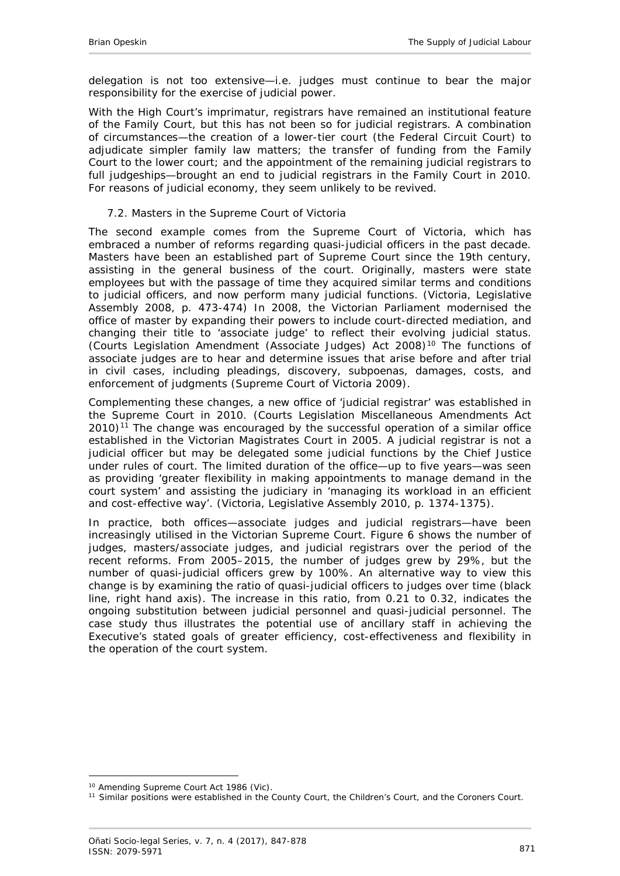delegation is not too extensive—i.e. judges must continue to bear the major responsibility for the exercise of judicial power.

With the High Court's imprimatur, registrars have remained an institutional feature of the Family Court, but this has not been so for judicial registrars. A combination of circumstances—the creation of a lower-tier court (the Federal Circuit Court) to adjudicate simpler family law matters; the transfer of funding from the Family Court to the lower court; and the appointment of the remaining judicial registrars to full judgeships—brought an end to judicial registrars in the Family Court in 2010. For reasons of judicial economy, they seem unlikely to be revived.

### <span id="page-24-0"></span>*7.2. Masters in the Supreme Court of Victoria*

The second example comes from the Supreme Court of Victoria, which has embraced a number of reforms regarding quasi-judicial officers in the past decade. Masters have been an established part of Supreme Court since the 19th century, assisting in the general business of the court. Originally, masters were state employees but with the passage of time they acquired similar terms and conditions to judicial officers, and now perform many judicial functions. (Victoria, Legislative Assembly 2008, p. 473-474) In 2008, the Victorian Parliament modernised the office of master by expanding their powers to include court-directed mediation, and changing their title to 'associate judge' to reflect their evolving judicial status. (Courts Legislation Amendment (Associate Judges) Act 2008)[10](#page-24-1) The functions of associate judges are to hear and determine issues that arise before and after trial in civil cases, including pleadings, discovery, subpoenas, damages, costs, and enforcement of judgments [\(Supreme Court of Victoria 2009\)](#page-30-10).

Complementing these changes, a new office of 'judicial registrar' was established in the Supreme Court in 2010. (Courts Legislation Miscellaneous Amendments Act  $2010$ <sup>[11](#page-24-2)</sup> The change was encouraged by the successful operation of a similar office established in the Victorian Magistrates Court in 2005. A judicial registrar is not a judicial officer but may be delegated some judicial functions by the Chief Justice under rules of court. The limited duration of the office—up to five years—was seen as providing 'greater flexibility in making appointments to manage demand in the court system' and assisting the judiciary in 'managing its workload in an efficient and cost-effective way'. (Victoria, Legislative Assembly 2010, p. 1374-1375).

In practice, both offices—associate judges and judicial registrars—have been increasingly utilised in the Victorian Supreme Court. Figure 6 shows the number of judges, masters/associate judges, and judicial registrars over the period of the recent reforms. From 2005–2015, the number of judges grew by 29%, but the number of quasi-judicial officers grew by 100%. An alternative way to view this change is by examining the ratio of quasi-judicial officers to judges over time (black line, right hand axis). The increase in this ratio, from 0.21 to 0.32, indicates the ongoing substitution between judicial personnel and quasi-judicial personnel. The case study thus illustrates the potential use of ancillary staff in achieving the Executive's stated goals of greater efficiency, cost-effectiveness and flexibility in the operation of the court system.

<span id="page-24-1"></span><sup>-</sup><sup>10</sup> Amending Supreme Court Act 1986 (Vic).

<span id="page-24-2"></span><sup>&</sup>lt;sup>11</sup> Similar positions were established in the County Court, the Children's Court, and the Coroners Court.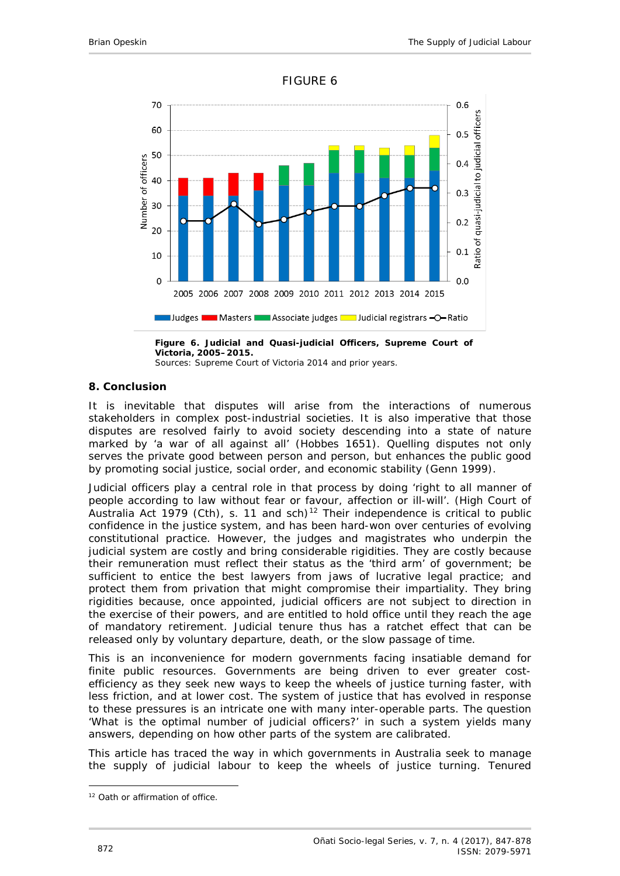

#### FIGURE 6

**Figure 6. Judicial and Quasi-judicial Officers, Supreme Court of Victoria, 2005–2015.** Sources: [Supreme Court of Victoria 2014](#page-30-11) and prior years.

## <span id="page-25-0"></span>**8. Conclusion**

It is inevitable that disputes will arise from the interactions of numerous stakeholders in complex post-industrial societies. It is also imperative that those disputes are resolved fairly to avoid society descending into a state of nature marked by 'a war of all against all' [\(Hobbes 1651\)](#page-28-12). Quelling disputes not only serves the private good between person and person, but enhances the public good by promoting social justice, social order, and economic stability [\(Genn 1999\)](#page-28-13).

Judicial officers play a central role in that process by doing 'right to all manner of people according to law without fear or favour, affection or ill-will'. (High Court of Australia Act 1979 (Cth), s. 11 and sch)<sup>[12](#page-25-1)</sup> Their independence is critical to public confidence in the justice system, and has been hard-won over centuries of evolving constitutional practice. However, the judges and magistrates who underpin the judicial system are costly and bring considerable rigidities. They are costly because their remuneration must reflect their status as the 'third arm' of government; be sufficient to entice the best lawyers from jaws of lucrative legal practice; and protect them from privation that might compromise their impartiality. They bring rigidities because, once appointed, judicial officers are not subject to direction in the exercise of their powers, and are entitled to hold office until they reach the age of mandatory retirement. Judicial tenure thus has a ratchet effect that can be released only by voluntary departure, death, or the slow passage of time.

This is an inconvenience for modern governments facing insatiable demand for finite public resources. Governments are being driven to ever greater costefficiency as they seek new ways to keep the wheels of justice turning faster, with less friction, and at lower cost. The system of justice that has evolved in response to these pressures is an intricate one with many inter-operable parts. The question 'What is the optimal number of judicial officers?' in such a system yields many answers, depending on how other parts of the system are calibrated.

This article has traced the way in which governments in Australia seek to manage the supply of judicial labour to keep the wheels of justice turning. Tenured

<span id="page-25-1"></span><sup>-</sup><sup>12</sup> Oath or affirmation of office.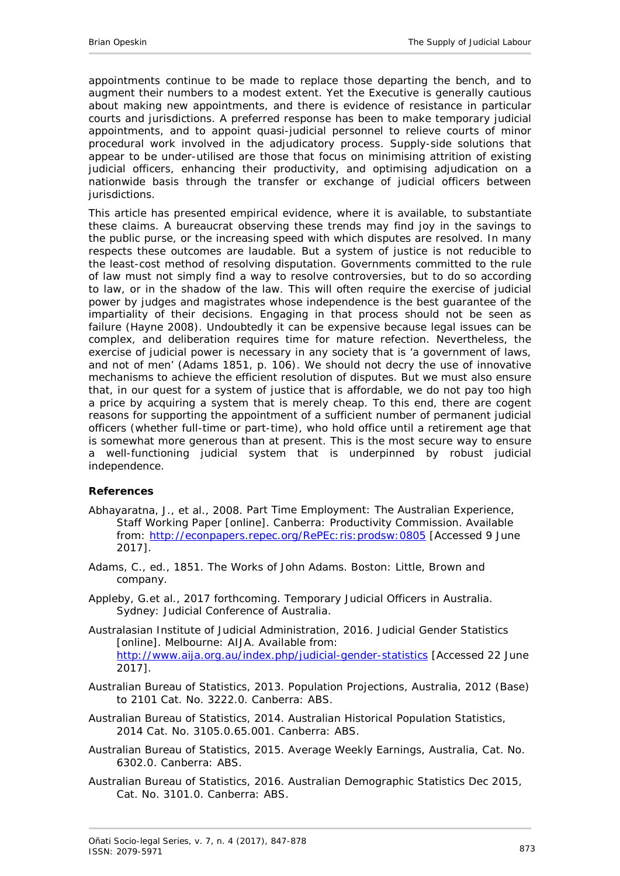appointments continue to be made to replace those departing the bench, and to augment their numbers to a modest extent. Yet the Executive is generally cautious about making new appointments, and there is evidence of resistance in particular courts and jurisdictions. A preferred response has been to make temporary judicial appointments, and to appoint quasi-judicial personnel to relieve courts of minor procedural work involved in the adjudicatory process. Supply-side solutions that appear to be under-utilised are those that focus on minimising attrition of existing judicial officers, enhancing their productivity, and optimising adjudication on a nationwide basis through the transfer or exchange of judicial officers between jurisdictions.

This article has presented empirical evidence, where it is available, to substantiate these claims. A bureaucrat observing these trends may find joy in the savings to the public purse, or the increasing speed with which disputes are resolved. In many respects these outcomes are laudable. But a system of *justice* is not reducible to the least-cost method of resolving disputation. Governments committed to the rule of law must not simply find a way to resolve controversies, but to do so according to law, or in the shadow of the law. This will often require the exercise of judicial power by judges and magistrates whose independence is the best guarantee of the impartiality of their decisions. Engaging in that process should not be seen as failure [\(Hayne 2008\)](#page-28-14). Undoubtedly it can be expensive because legal issues can be complex, and deliberation requires time for mature refection. Nevertheless, the exercise of judicial power is necessary in any society that is 'a government of laws, and not of men' [\(Adams 1851, p. 106\)](#page-26-8). We should not decry the use of innovative mechanisms to achieve the efficient resolution of disputes. But we must also ensure that, in our quest for a system of justice that is affordable, we do not pay too high a price by acquiring a system that is merely cheap. To this end, there are cogent reasons for supporting the appointment of a sufficient number of permanent judicial officers (whether full-time or part-time), who hold office until a retirement age that is somewhat more generous than at present. This is the most secure way to ensure a well-functioning judicial system that is underpinned by robust judicial independence.

## <span id="page-26-0"></span>**References**

- <span id="page-26-5"></span>Abhayaratna, J., *et al.*, 2008. *Part Time Employment: The Australian Experience, Staff Working Paper* [online]. Canberra: Productivity Commission. Available from: http://econpapers.repec.org/RePEc:ris:prodsw:0805 [Accessed 9 June 2017].
- <span id="page-26-8"></span>Adams, C., ed., 1851. *The Works of John Adams*. Boston: Little, Brown and company.
- <span id="page-26-4"></span>Appleby, G.*et al*., 2017 forthcoming. *Temporary Judicial Officers in Australia*. Sydney: Judicial Conference of Australia.
- <span id="page-26-1"></span>Australasian Institute of Judicial Administration, 2016. *Judicial Gender Statistics* [online]. Melbourne: AIJA. Available from: <http://www.aija.org.au/index.php/judicial-gender-statistics> [Accessed 22 June 2017].
- <span id="page-26-6"></span>Australian Bureau of Statistics, 2013. *Population Projections, Australia, 2012 (Base) to 2101 Cat. No. 3222.0*. Canberra: ABS.
- <span id="page-26-7"></span>Australian Bureau of Statistics, 2014. *Australian Historical Population Statistics, 2014 Cat. No. 3105.0.65.001*. Canberra: ABS.
- <span id="page-26-3"></span>Australian Bureau of Statistics, 2015. *Average Weekly Earnings, Australia, Cat. No. 6302.0*. Canberra: ABS.
- <span id="page-26-2"></span>Australian Bureau of Statistics, 2016. *Australian Demographic Statistics Dec 2015, Cat. No. 3101.0*. Canberra: ABS.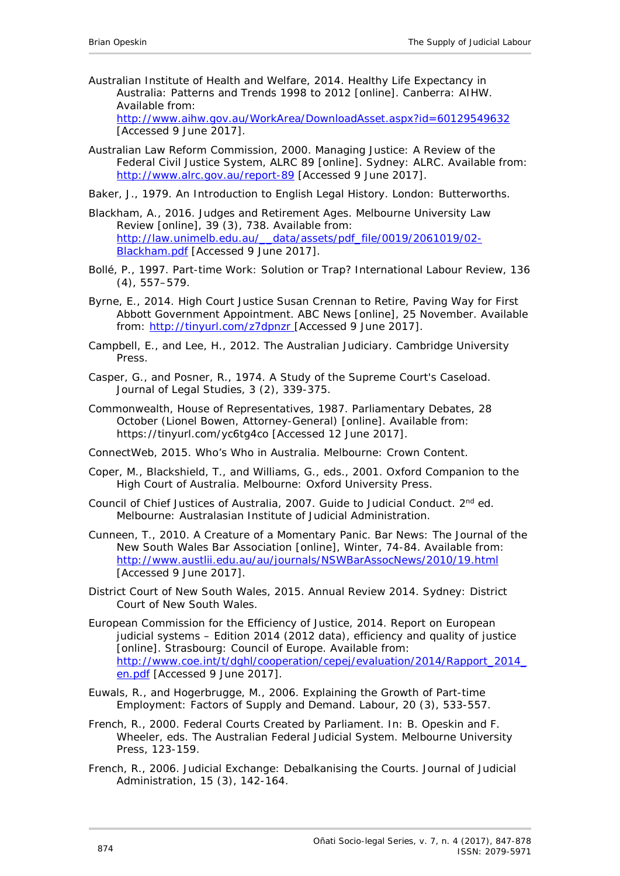<span id="page-27-8"></span>Australian Institute of Health and Welfare, 2014. *Healthy Life Expectancy in Australia: Patterns and Trends 1998 to 2012* [online]. Canberra: AIHW. Available from:

http://www.aihw.gov.au/WorkArea/DownloadAsset.aspx?id=60129549632 [Accessed 9 June 2017].

<span id="page-27-13"></span>Australian Law Reform Commission, 2000. *Managing Justice: A Review of the Federal Civil Justice System, ALRC 89* [online]. Sydney: ALRC. Available from: http://www.alrc.gov.au/report-89 [Accessed 9 June 2017].

<span id="page-27-14"></span>Baker, J., 1979. *An Introduction to English Legal History*. London: Butterworths.

- <span id="page-27-9"></span>Blackham, A., 2016. Judges and Retirement Ages. *Melbourne University Law Review* [online], 39 (3), 738. Available from: http://law.unimelb.edu.au/\_\_data/assets/pdf\_file/0019/2061019/02- Blackham.pdf [Accessed 9 June 2017].
- <span id="page-27-5"></span>Bollé, P., 1997. Part-time Work: Solution or Trap? *International Labour Review,* 136 (4), 557–579.
- <span id="page-27-12"></span>Byrne, E., 2014. High Court Justice Susan Crennan to Retire, Paving Way for First Abbott Government Appointment. *ABC News* [online], 25 November. Available from: <http://tinyurl.com/z7dpnzr> [Accessed 9 June 2017].
- <span id="page-27-6"></span>Campbell, E., and Lee, H., 2012. *The Australian Judiciary*. Cambridge University Press.
- <span id="page-27-0"></span>Casper, G., and Posner, R., 1974. A Study of the Supreme Court's Caseload. *Journal of Legal Studies,* 3 (2), 339-375.
- Commonwealth, House of Representatives, 1987. *Parliamentary Debates*, 28 October (Lionel Bowen, Attorney-General) [online]. Available from: https://tinyurl.com/yc6tg4co [Accessed 12 June 2017].

<span id="page-27-11"></span>ConnectWeb, 2015. *Who's Who in Australia*. Melbourne: Crown Content.

- <span id="page-27-10"></span>Coper, M., Blackshield, T., and Williams, G., eds., 2001. Oxford Companion to the High Court of Australia. Melbourne: Oxford University Press.
- <span id="page-27-4"></span>Council of Chief Justices of Australia, 2007. *Guide to Judicial Conduct.* 2nd ed*.*  Melbourne: Australasian Institute of Judicial Administration.
- <span id="page-27-7"></span>Cunneen, T., 2010. A Creature of a Momentary Panic. *Bar News: The Journal of the New South Wales Bar Association* [online], Winter, 74-84. Available from: http://www.austlii.edu.au/au/journals/NSWBarAssocNews/2010/19.html [Accessed 9 June 2017].
- <span id="page-27-1"></span>District Court of New South Wales, 2015. *Annual Review 2014*. Sydney: District Court of New South Wales.
- European Commission for the Efficiency of Justice, 2014. *Report on European judicial systems – Edition 2014 (2012 data), efficiency and quality of justice*  [online]. Strasbourg: Council of Europe. Available from: http://www.coe.int/t/dghl/cooperation/cepej/evaluation/2014/Rapport\_2014 en.pdf [Accessed 9 June 2017].
- <span id="page-27-3"></span>Euwals, R., and Hogerbrugge, M., 2006. Explaining the Growth of Part-time Employment: Factors of Supply and Demand. *Labour,* 20 (3), 533-557.
- <span id="page-27-2"></span>French, R., 2000. Federal Courts Created by Parliament. *In*: B. Opeskin and F. Wheeler, eds. *The Australian Federal Judicial System*. Melbourne University Press, 123-159.
- <span id="page-27-15"></span>French, R., 2006. Judicial Exchange: Debalkanising the Courts. *Journal of Judicial Administration,* 15 (3), 142-164.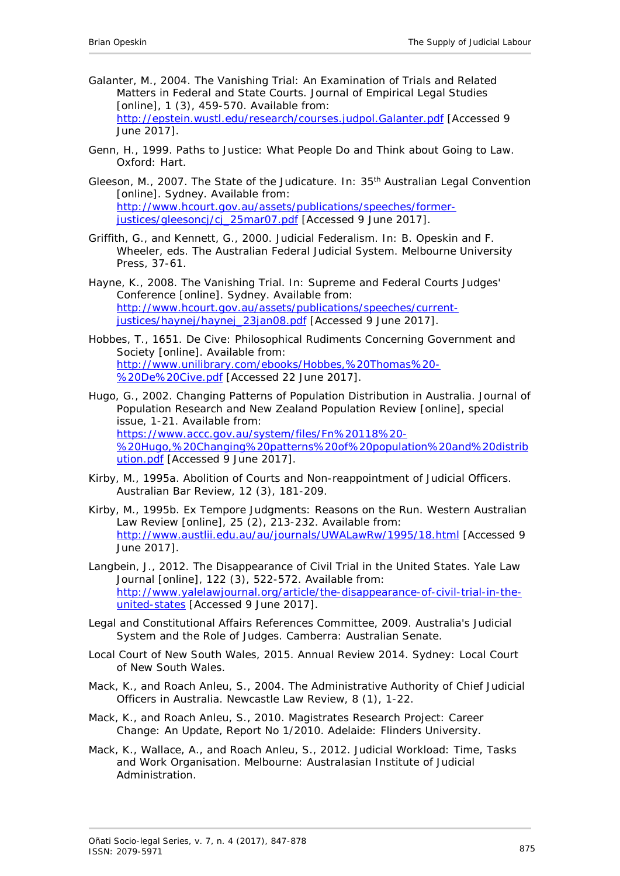- <span id="page-28-0"></span>Galanter, M., 2004. The Vanishing Trial: An Examination of Trials and Related Matters in Federal and State Courts. *Journal of Empirical Legal Studies* [online], 1 (3), 459-570. Available from: http://epstein.wustl.edu/research/courses.judpol.Galanter.pdf [Accessed 9 June 2017].
- <span id="page-28-13"></span>Genn, H., 1999. *Paths to Justice: What People Do and Think about Going to Law*. Oxford: Hart.
- <span id="page-28-11"></span>Gleeson, M., 2007. The State of the Judicature. *In*: 35<sup>th</sup> Australian Legal Convention [online]. Sydney. Available from: http://www.hcourt.gov.au/assets/publications/speeches/formerjustices/gleesoncj/cj\_25mar07.pdf [Accessed 9 June 2017].
- <span id="page-28-10"></span>Griffith, G., and Kennett, G., 2000. Judicial Federalism. *In*: B. Opeskin and F. Wheeler, eds. *The Australian Federal Judicial System*. Melbourne University Press, 37-61.
- <span id="page-28-14"></span>Hayne, K., 2008. The Vanishing Trial. *In*: *Supreme and Federal Courts Judges' Conference* [online]. Sydney. Available from: http://www.hcourt.gov.au/assets/publications/speeches/currentjustices/haynej/haynej\_23jan08.pdf [Accessed 9 June 2017].
- <span id="page-28-12"></span>Hobbes, T., 1651. *De Cive: Philosophical Rudiments Concerning Government and Society* [online]. Available from: http://www.unilibrary.com/ebooks/Hobbes,%20Thomas%20- %20De%20Cive.pdf [Accessed 22 June 2017].
- <span id="page-28-8"></span>Hugo, G., 2002. Changing Patterns of Population Distribution in Australia. *Journal of Population Research and New Zealand Population Review* [online], special issue, 1-21. Available from: https://www.accc.gov.au/system/files/Fn%20118%20- %20Hugo,%20Changing%20patterns%20of%20population%20and%20distrib ution.pdf [Accessed 9 June 2017].
- <span id="page-28-3"></span>Kirby, M., 1995a. Abolition of Courts and Non-reappointment of Judicial Officers. *Australian Bar Review,* 12 (3), 181-209.
- <span id="page-28-7"></span>Kirby, M., 1995b. Ex Tempore Judgments: Reasons on the Run. *Western Australian Law Review* [online], 25 (2), 213-232. Available from: http://www.austlii.edu.au/au/journals/UWALawRw/1995/18.html [Accessed 9 June 2017].
- <span id="page-28-1"></span>Langbein, J., 2012. The Disappearance of Civil Trial in the United States. *Yale Law Journal* [online], 122 (3), 522-572. Available from: http://www.yalelawjournal.org/article/the-disappearance-of-civil-trial-in-theunited-states [Accessed 9 June 2017].
- <span id="page-28-4"></span>Legal and Constitutional Affairs References Committee, 2009. *Australia's Judicial System and the Role of Judges*. Camberra: Australian Senate.
- <span id="page-28-2"></span>Local Court of New South Wales, 2015. *Annual Review 2014*. Sydney: Local Court of New South Wales.
- <span id="page-28-9"></span>Mack, K., and Roach Anleu, S., 2004. The Administrative Authority of Chief Judicial Officers in Australia. *Newcastle Law Review,* 8 (1), 1-22.
- <span id="page-28-6"></span>Mack, K., and Roach Anleu, S., 2010. *Magistrates Research Project: Career Change: An Update, Report No 1/2010*. Adelaide: Flinders University.
- <span id="page-28-5"></span>Mack, K., Wallace, A., and Roach Anleu, S., 2012. *Judicial Workload: Time, Tasks and Work Organisation*. Melbourne: Australasian Institute of Judicial Administration.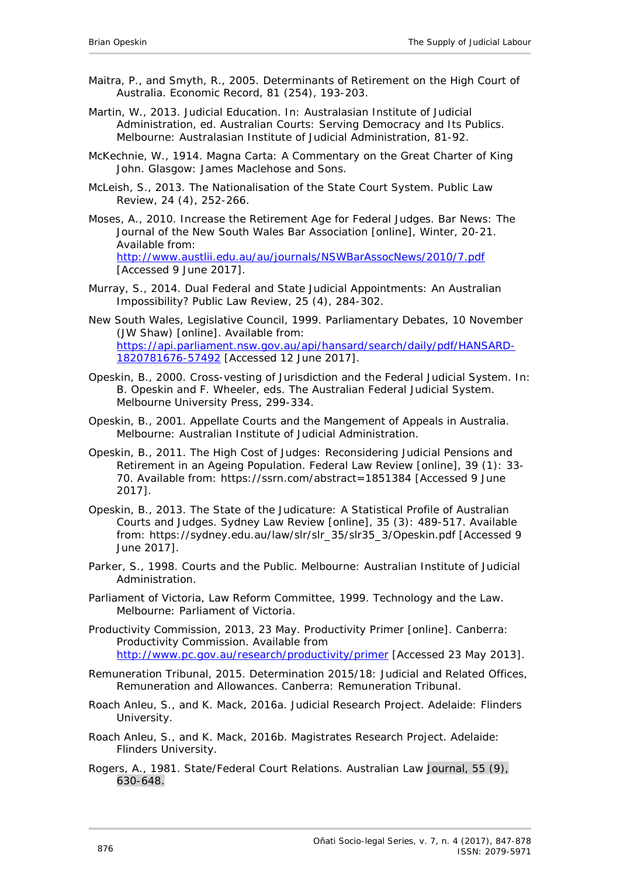- <span id="page-29-5"></span>Maitra, P., and Smyth, R., 2005. Determinants of Retirement on the High Court of Australia. *Economic Record,* 81 (254), 193-203.
- <span id="page-29-9"></span>Martin, W., 2013. Judicial Education. *In*: Australasian Institute of Judicial Administration, ed. *Australian Courts: Serving Democracy and Its Publics*. Melbourne: Australasian Institute of Judicial Administration, 81-92.
- <span id="page-29-12"></span>McKechnie, W., 1914. *Magna Carta: A Commentary on the Great Charter of King John*. Glasgow: James Maclehose and Sons.
- <span id="page-29-14"></span>McLeish, S., 2013. The Nationalisation of the State Court System. *Public Law Review,* 24 (4), 252-266.
- <span id="page-29-4"></span>Moses, A., 2010. Increase the Retirement Age for Federal Judges. *Bar News: The Journal of the New South Wales Bar Association* [online], Winter, 20-21. Available from: http://www.austlii.edu.au/au/journals/NSWBarAssocNews/2010/7.pdf [Accessed 9 June 2017].
- <span id="page-29-15"></span>Murray, S., 2014. Dual Federal and State Judicial Appointments: An Australian Impossibility? *Public Law Review,* 25 (4), 284-302.
- New South Wales, Legislative Council, 1999. *Parliamentary Debates, 10 November* (JW Shaw) [online]. Available from: [https://api.parliament.nsw.gov.au/api/hansard/search/daily/pdf/HANSARD-](https://api.parliament.nsw.gov.au/api/hansard/search/daily/pdf/HANSARD-1820781676-57492)[1820781676-57492](https://api.parliament.nsw.gov.au/api/hansard/search/daily/pdf/HANSARD-1820781676-57492) [Accessed 12 June 2017].
- <span id="page-29-13"></span>Opeskin, B., 2000. Cross-vesting of Jurisdiction and the Federal Judicial System. *In*: B. Opeskin and F. Wheeler, eds. *The Australian Federal Judicial System*. Melbourne University Press, 299-334.
- <span id="page-29-1"></span>Opeskin, B., 2001. *Appellate Courts and the Mangement of Appeals in Australia*. Melbourne: Australian Institute of Judicial Administration.
- <span id="page-29-3"></span>Opeskin, B., 2011. The High Cost of Judges: Reconsidering Judicial Pensions and Retirement in an Ageing Population. *Federal Law Review* [online], 39 (1): 33- 70. Available from: https://ssrn.com/abstract=1851384 [Accessed 9 June 2017].
- <span id="page-29-0"></span>Opeskin, B., 2013. The State of the Judicature: A Statistical Profile of Australian Courts and Judges. *Sydney Law Review* [online], 35 (3): 489-517. Available from: https://sydney.edu.au/law/slr/slr\_35/slr35\_3/Opeskin.pdf [Accessed 9 June 2017].
- <span id="page-29-10"></span>Parker, S., 1998. *Courts and the Public*. Melbourne: Australian Institute of Judicial Administration.
- <span id="page-29-11"></span>Parliament of Victoria, Law Reform Committee, 1999. *Technology and the Law*. Melbourne: Parliament of Victoria.
- <span id="page-29-8"></span>Productivity Commission, 2013, 23 May. *Productivity Primer* [online]. Canberra: Productivity Commission. Available from http://www.pc.gov.au/research/productivity/primer [Accessed 23 May 2013].
- <span id="page-29-2"></span>Remuneration Tribunal, 2015. *Determination 2015/18: Judicial and Related Offices, Remuneration and Allowances*. Canberra: Remuneration Tribunal.
- <span id="page-29-6"></span>Roach Anleu, S., and K. Mack, 2016a. *Judicial Research Project*. Adelaide: Flinders University.
- <span id="page-29-7"></span>Roach Anleu, S., and K. Mack, 2016b. *Magistrates Research Project*. Adelaide: Flinders University.
- <span id="page-29-16"></span>Rogers, A., 1981. State/Federal Court Relations. *Australian Law Journal,* 55 (9), 630-648.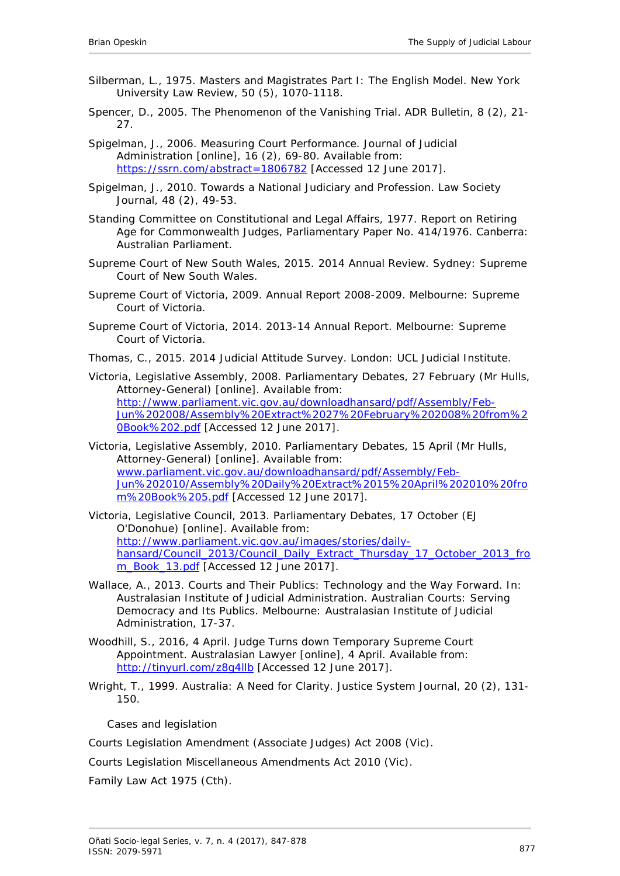- <span id="page-30-9"></span>Silberman, L., 1975. Masters and Magistrates Part I: The English Model. *New York University Law Review,* 50 (5), 1070-1118.
- <span id="page-30-0"></span>Spencer, D., 2005. The Phenomenon of the Vanishing Trial. *ADR Bulletin,* 8 (2), 21- 27.
- <span id="page-30-5"></span>Spigelman, J., 2006. Measuring Court Performance. *Journal of Judicial Administration* [online], 16 (2), 69-80. Available from: https://ssrn.com/abstract=1806782 [Accessed 12 June 2017].
- <span id="page-30-8"></span>Spigelman, J., 2010. Towards a National Judiciary and Profession. *Law Society Journal*, 48 (2), 49-53.
- <span id="page-30-3"></span>Standing Committee on Constitutional and Legal Affairs, 1977. *Report on Retiring Age for Commonwealth Judges, Parliamentary Paper No. 414/1976*. Canberra: Australian Parliament.
- <span id="page-30-1"></span>Supreme Court of New South Wales, 2015. *2014 Annual Review*. Sydney: Supreme Court of New South Wales.
- <span id="page-30-10"></span>Supreme Court of Victoria, 2009. *Annual Report 2008-2009*. Melbourne: Supreme Court of Victoria.
- <span id="page-30-11"></span>Supreme Court of Victoria, 2014. *2013-14 Annual Report*. Melbourne: Supreme Court of Victoria.
- <span id="page-30-4"></span>Thomas, C., 2015. *2014 Judicial Attitude Survey*. London: UCL Judicial Institute.
- Victoria, Legislative Assembly, 2008. *Parliamentary Debates, 27 February (Mr Hulls, Attorney-General)* [online]. Available from: [http://www.parliament.vic.gov.au/downloadhansard/pdf/Assembly/Feb-](http://www.parliament.vic.gov.au/downloadhansard/pdf/Assembly/Feb-Jun%202008/Assembly%20Extract%2027%20February%202008%20from%20Book%202.pdf)[Jun%202008/Assembly%20Extract%2027%20February%202008%20from%2](http://www.parliament.vic.gov.au/downloadhansard/pdf/Assembly/Feb-Jun%202008/Assembly%20Extract%2027%20February%202008%20from%20Book%202.pdf) [0Book%202.pdf](http://www.parliament.vic.gov.au/downloadhansard/pdf/Assembly/Feb-Jun%202008/Assembly%20Extract%2027%20February%202008%20from%20Book%202.pdf) [Accessed 12 June 2017].
- Victoria, Legislative Assembly, 2010. *Parliamentary Debates*, 15 April (Mr Hulls, Attorney-General) [online]. Available from: [www.parliament.vic.gov.au/downloadhansard/pdf/Assembly/Feb-](http://www.parliament.vic.gov.au/downloadhansard/pdf/Assembly/Feb-Jun%202010/Assembly%20Daily%20Extract%2015%20April%202010%20from%20Book%205.pdf)[Jun%202010/Assembly%20Daily%20Extract%2015%20April%202010%20fro](http://www.parliament.vic.gov.au/downloadhansard/pdf/Assembly/Feb-Jun%202010/Assembly%20Daily%20Extract%2015%20April%202010%20from%20Book%205.pdf) [m%20Book%205.pdf](http://www.parliament.vic.gov.au/downloadhansard/pdf/Assembly/Feb-Jun%202010/Assembly%20Daily%20Extract%2015%20April%202010%20from%20Book%205.pdf) [Accessed 12 June 2017].
- Victoria, Legislative Council, 2013. *Parliamentary Debates, 17 October (EJ O'Donohue)* [online]. Available from: http://www.parliament.vic.gov.au/images/stories/dailyhansard/Council\_2013/Council\_Daily\_Extract\_Thursday\_17\_October\_2013\_fro m\_Book\_13.pdf [Accessed 12 June 2017].
- <span id="page-30-7"></span>Wallace, A., 2013. Courts and Their Publics: Technology and the Way Forward. *In*: Australasian Institute of Judicial Administration. *Australian Courts: Serving Democracy and Its Publics*. Melbourne: Australasian Institute of Judicial Administration, 17-37.
- <span id="page-30-2"></span>Woodhill, S., 2016, 4 April. Judge Turns down Temporary Supreme Court Appointment. *Australasian Lawyer* [online], 4 April. Available from: <http://tinyurl.com/z8g4llb> [Accessed 12 June 2017].
- <span id="page-30-6"></span>Wright, T., 1999. Australia: A Need for Clarity. *Justice System Journal,* 20 (2), 131- 150.

*Cases and legislation*

Courts Legislation Amendment (Associate Judges) Act 2008 (Vic).

Courts Legislation Miscellaneous Amendments Act 2010 (Vic).

Family Law Act 1975 (Cth).